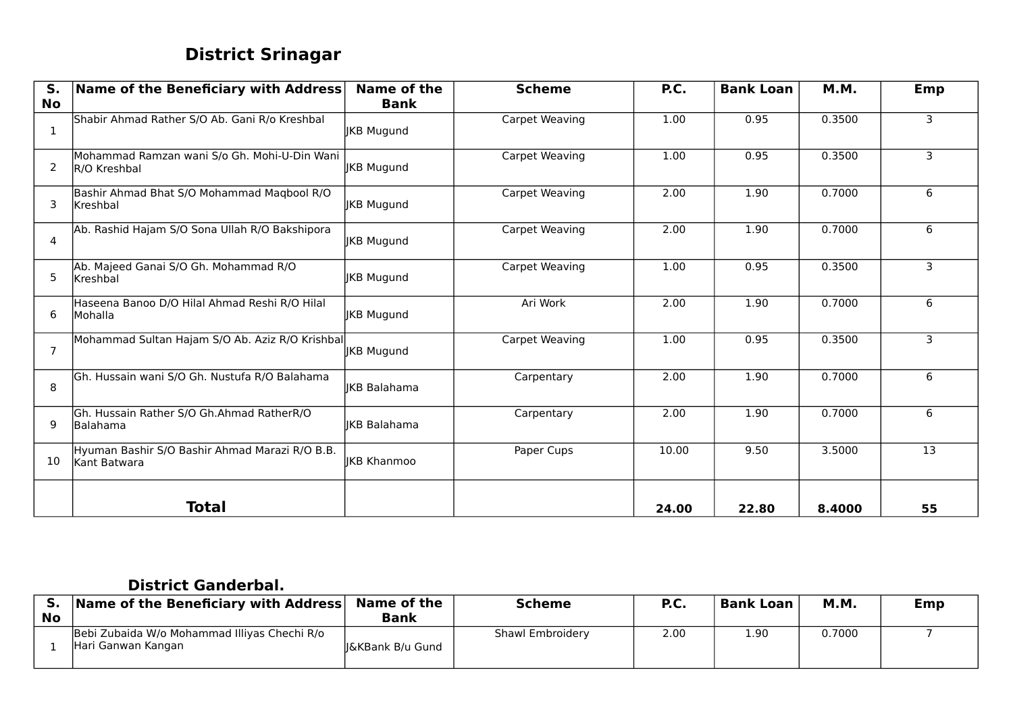# **District Srinagar**

| $S_{1}$<br><b>No</b> | Name of the Beneficiary with Address                           | Name of the<br><b>Bank</b> | <b>Scheme</b>  | P.C.  | <b>Bank Loan</b> | <b>M.M.</b> | Emp |
|----------------------|----------------------------------------------------------------|----------------------------|----------------|-------|------------------|-------------|-----|
| 1                    | Shabir Ahmad Rather S/O Ab. Gani R/o Kreshbal                  | <b>JKB Mugund</b>          | Carpet Weaving | 1.00  | 0.95             | 0.3500      | 3   |
| 2                    | Mohammad Ramzan wani S/o Gh. Mohi-U-Din Wani<br>R/O Kreshbal   | <b>IKB Mugund</b>          | Carpet Weaving | 1.00  | 0.95             | 0.3500      | 3   |
| 3                    | Bashir Ahmad Bhat S/O Mohammad Maqbool R/O<br>lKreshbal        | <b>IKB Mugund</b>          | Carpet Weaving | 2.00  | 1.90             | 0.7000      | 6   |
| 4                    | Ab. Rashid Hajam S/O Sona Ullah R/O Bakshipora                 | JKB Mugund                 | Carpet Weaving | 2.00  | 1.90             | 0.7000      | 6   |
| 5                    | Ab. Majeed Ganai S/O Gh. Mohammad R/O<br>lKreshbal             | JKB Mugund                 | Carpet Weaving | 1.00  | 0.95             | 0.3500      | 3   |
| 6                    | Haseena Banoo D/O Hilal Ahmad Reshi R/O Hilal<br>Mohalla       | <b>IKB Mugund</b>          | Ari Work       | 2.00  | 1.90             | 0.7000      | 6   |
| 7                    | Mohammad Sultan Hajam S/O Ab. Aziz R/O Krishbal                | <b>JKB Mugund</b>          | Carpet Weaving | 1.00  | 0.95             | 0.3500      | 3   |
| 8                    | Gh. Hussain wani S/O Gh. Nustufa R/O Balahama                  | IKB Balahama               | Carpentary     | 2.00  | 1.90             | 0.7000      | 6   |
| 9                    | Gh. Hussain Rather S/O Gh.Ahmad RatherR/O<br>Balahama          | <b>IKB Balahama</b>        | Carpentary     | 2.00  | 1.90             | 0.7000      | 6   |
| 10                   | Hyuman Bashir S/O Bashir Ahmad Marazi R/O B.B.<br>Kant Batwara | <b>IKB Khanmoo</b>         | Paper Cups     | 10.00 | 9.50             | 3.5000      | 13  |
|                      | <b>Total</b>                                                   |                            |                | 24.00 | 22.80            | 8.4000      | 55  |

#### **District Ganderbal.**

|           | <b>Name of the Beneficiary with Address</b>                        | Name of the       | <b>Scheme</b>    | P.C. | <b>Bank Loan</b> | M.M.   | Emp |
|-----------|--------------------------------------------------------------------|-------------------|------------------|------|------------------|--------|-----|
| <b>No</b> |                                                                    | <b>Bank</b>       |                  |      |                  |        |     |
|           | Bebi Zubaida W/o Mohammad Illiyas Chechi R/o<br>Hari Ganwan Kangan | ll&KBank B/u Gund | Shawl Embroidery | 2.00 | 1.90             | 0.7000 |     |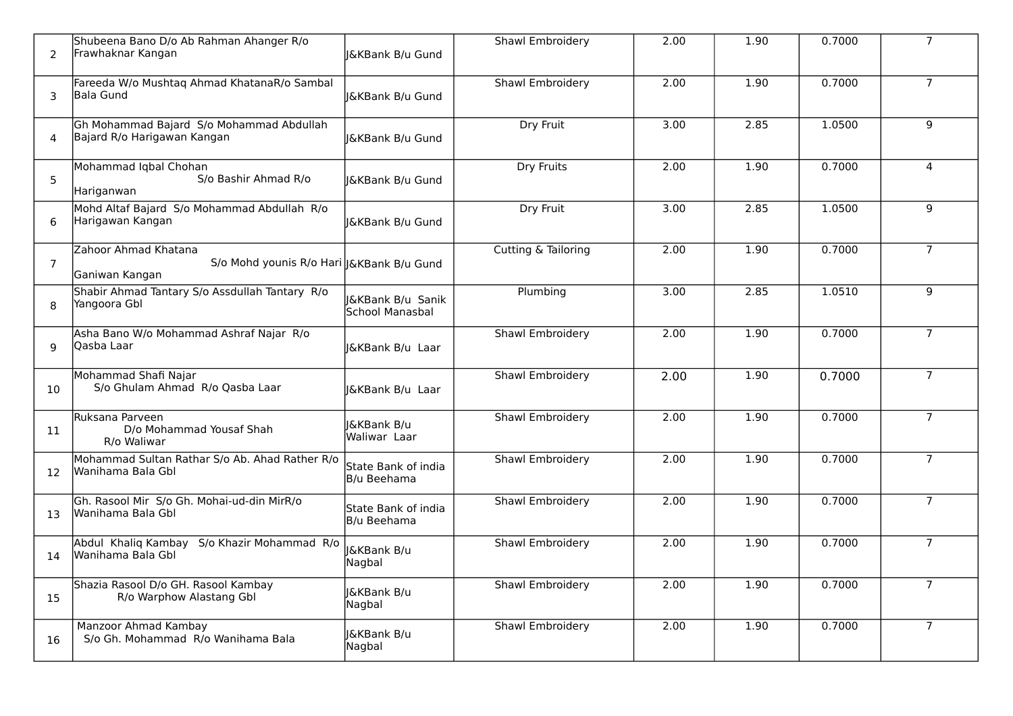| 2  | Shubeena Bano D/o Ab Rahman Ahanger R/o<br>Frawhaknar Kangan                         | <b>I&amp;KBank B/u Gund</b>            | Shawl Embroidery    | 2.00 | 1.90 | 0.7000 | $\overline{7}$ |
|----|--------------------------------------------------------------------------------------|----------------------------------------|---------------------|------|------|--------|----------------|
| 3  | Fareeda W/o Mushtaq Ahmad KhatanaR/o Sambal<br>lBala Gund                            | I&KBank B/u Gund                       | Shawl Embroidery    | 2.00 | 1.90 | 0.7000 | $\overline{7}$ |
| 4  | Gh Mohammad Bajard S/o Mohammad Abdullah<br>Bajard R/o Harigawan Kangan              | J&KBank B/u Gund                       | Dry Fruit           | 3.00 | 2.85 | 1.0500 | 9              |
| 5  | Mohammad Iqbal Chohan<br>S/o Bashir Ahmad R/o<br>Hariganwan                          | J&KBank B/u Gund                       | <b>Dry Fruits</b>   | 2.00 | 1.90 | 0.7000 | 4              |
| 6  | Mohd Altaf Bajard S/o Mohammad Abdullah R/o<br>Harigawan Kangan                      | J&KBank B/u Gund                       | Dry Fruit           | 3.00 | 2.85 | 1.0500 | 9              |
| 7  | Zahoor Ahmad Khatana<br>S/o Mohd younis R/o Hari  J&KBank B/u Gund<br>Ganiwan Kangan |                                        | Cutting & Tailoring | 2.00 | 1.90 | 0.7000 | 7 <sup>1</sup> |
| 8  | Shabir Ahmad Tantary S/o Assdullah Tantary R/o<br>Yangoora Gbl                       | J&KBank B/u Sanik<br>School Manasbal   | Plumbing            | 3.00 | 2.85 | 1.0510 | 9              |
| q  | Asha Bano W/o Mohammad Ashraf Najar R/o<br>lOasba Laar                               | <b>J&amp;KBank B/u Laar</b>            | Shawl Embroidery    | 2.00 | 1.90 | 0.7000 | $\overline{7}$ |
| 10 | Mohammad Shafi Najar<br>S/o Ghulam Ahmad R/o Qasba Laar                              | I&KBank B/u Laar                       | Shawl Embroidery    | 2.00 | 1.90 | 0.7000 | $\overline{7}$ |
| 11 | Ruksana Parveen<br>D/o Mohammad Yousaf Shah<br>R/o Waliwar                           | <b>I&amp;KBank B/u</b><br>Waliwar Laar | Shawl Embroidery    | 2.00 | 1.90 | 0.7000 | $7^{\circ}$    |
| 12 | Mohammad Sultan Rathar S/o Ab. Ahad Rather R/o<br>Wanihama Bala Gbl                  | State Bank of india<br>B/u Beehama     | Shawl Embroidery    | 2.00 | 1.90 | 0.7000 | $\overline{7}$ |
| 13 | Gh. Rasool Mir S/o Gh. Mohai-ud-din MirR/o<br>Wanihama Bala Gbl                      | State Bank of india<br>B/u Beehama     | Shawl Embroidery    | 2.00 | 1.90 | 0.7000 | $\overline{7}$ |
| 14 | Abdul Khaliq Kambay S/o Khazir Mohammad R/o<br>Wanihama Bala Gbl                     | J&KBank B/u<br>Nagbal                  | Shawl Embroidery    | 2.00 | 1.90 | 0.7000 | $\overline{7}$ |
| 15 | Shazia Rasool D/o GH. Rasool Kambay<br>R/o Warphow Alastang Gbl                      | <b>I&amp;KBank B/u</b><br>Nagbal       | Shawl Embroidery    | 2.00 | 1.90 | 0.7000 | $\overline{7}$ |
| 16 | Manzoor Ahmad Kambay<br>S/o Gh. Mohammad R/o Wanihama Bala                           | J&KBank B/u<br>Nagbal                  | Shawl Embroidery    | 2.00 | 1.90 | 0.7000 | $\overline{7}$ |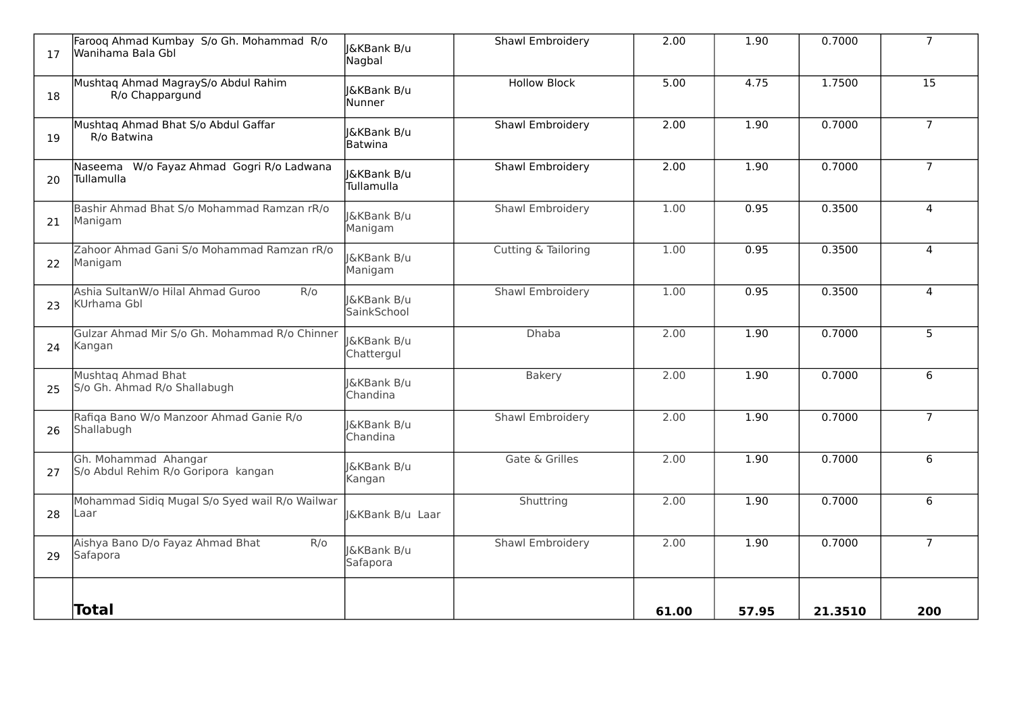| 17 | Farooq Ahmad Kumbay S/o Gh. Mohammad R/o<br>Wanihama Bala Gbl  | <b>I&amp;KBank B/u</b><br>Nagbal        | <b>Shawl Embroidery</b> | 2.00  | 1.90  | 0.7000  | $\overline{7}$  |
|----|----------------------------------------------------------------|-----------------------------------------|-------------------------|-------|-------|---------|-----------------|
| 18 | Mushtaq Ahmad MagrayS/o Abdul Rahim<br>R/o Chappargund         | <b>I&amp;KBank B/u</b><br>Nunner        | <b>Hollow Block</b>     | 5.00  | 4.75  | 1.7500  | $\overline{15}$ |
| 19 | Mushtaq Ahmad Bhat S/o Abdul Gaffar<br>R/o Batwina             | <b>&amp;KBank B/u</b><br><b>Batwina</b> | Shawl Embroidery        | 2.00  | 1.90  | 0.7000  | $\overline{7}$  |
| 20 | Naseema W/o Fayaz Ahmad Gogri R/o Ladwana<br><b>Tullamulla</b> | <b>J&amp;KBank B/u</b><br>Tullamulla    | <b>Shawl Embroidery</b> | 2.00  | 1.90  | 0.7000  | $\overline{7}$  |
| 21 | Bashir Ahmad Bhat S/o Mohammad Ramzan rR/o<br>Manigam          | <b>I&amp;KBank B/u</b><br>Manigam       | Shawl Embroidery        | 1.00  | 0.95  | 0.3500  | $\overline{4}$  |
| 22 | Zahoor Ahmad Gani S/o Mohammad Ramzan rR/o<br>Manigam          | <b>I&amp;KBank B/u</b><br>Manigam       | Cutting & Tailoring     | 1.00  | 0.95  | 0.3500  | $\overline{4}$  |
| 23 | Ashia SultanW/o Hilal Ahmad Guroo<br>R/O<br>KUrhama Gbl        | <b>I&amp;KBank B/u</b><br>SainkSchool   | <b>Shawl Embroidery</b> | 1.00  | 0.95  | 0.3500  | $\overline{4}$  |
| 24 | Gulzar Ahmad Mir S/o Gh. Mohammad R/o Chinner<br>Kangan        | <b>J&amp;KBank B/u</b><br>Chattergul    | Dhaba                   | 2.00  | 1.90  | 0.7000  | $5\overline{)}$ |
| 25 | Mushtaq Ahmad Bhat<br>S/o Gh. Ahmad R/o Shallabugh             | <b>J&amp;KBank B/u</b><br>Chandina      | Bakery                  | 2.00  | 1.90  | 0.7000  | 6               |
| 26 | Rafiqa Bano W/o Manzoor Ahmad Ganie R/o<br>Shallabugh          | <b>J&amp;KBank B/u</b><br>Chandina      | <b>Shawl Embroidery</b> | 2.00  | 1.90  | 0.7000  | $\overline{7}$  |
| 27 | Gh. Mohammad Ahangar<br>S/o Abdul Rehim R/o Goripora kangan    | <b>I&amp;KBank B/u</b><br>Kangan        | Gate & Grilles          | 2.00  | 1.90  | 0.7000  | 6               |
| 28 | Mohammad Sidiq Mugal S/o Syed wail R/o Wailwar<br>Laar         | <b>J&amp;KBank B/u Laar</b>             | Shuttring               | 2.00  | 1.90  | 0.7000  | 6               |
| 29 | Aishya Bano D/o Fayaz Ahmad Bhat<br>R/O<br>Safapora            | <b>J&amp;KBank B/u</b><br>Safapora      | <b>Shawl Embroidery</b> | 2.00  | 1.90  | 0.7000  | $\overline{7}$  |
|    | Total                                                          |                                         |                         | 61.00 | 57.95 | 21.3510 | 200             |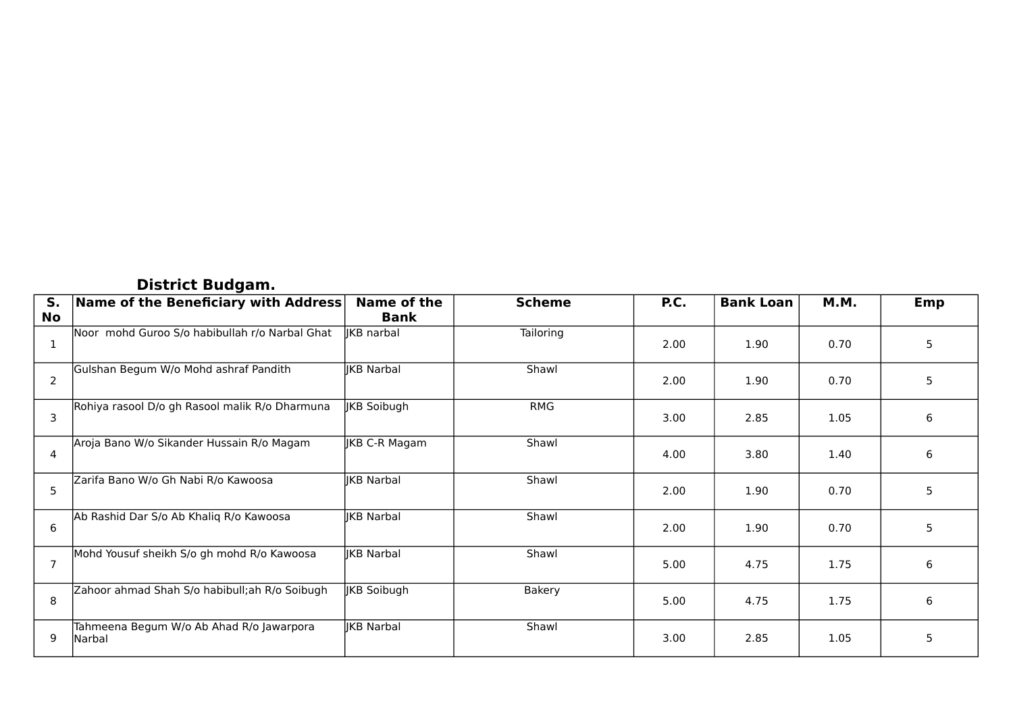### **District Budgam.**

| S.             | Name of the Beneficiary with Address               | Name of the       | <b>Scheme</b> | P.C. | <b>Bank Loan</b> | <b>M.M.</b> | <b>Emp</b> |
|----------------|----------------------------------------------------|-------------------|---------------|------|------------------|-------------|------------|
| No             |                                                    | <b>Bank</b>       |               |      |                  |             |            |
| 1              | Noor mohd Guroo S/o habibullah r/o Narbal Ghat     | <b>IKB</b> narbal | Tailoring     | 2.00 | 1.90             | 0.70        | 5          |
| 2              | Gulshan Begum W/o Mohd ashraf Pandith              | <b>IKB Narbal</b> | Shawl         | 2.00 | 1.90             | 0.70        | 5          |
| 3              | Rohiya rasool D/o gh Rasool malik R/o Dharmuna     | JKB Soibugh       | <b>RMG</b>    | 3.00 | 2.85             | 1.05        | 6          |
| $\overline{4}$ | Aroja Bano W/o Sikander Hussain R/o Magam          | JKB C-R Magam     | Shawl         | 4.00 | 3.80             | 1.40        | 6          |
| 5              | Zarifa Bano W/o Gh Nabi R/o Kawoosa                | <b>IKB Narbal</b> | Shawl         | 2.00 | 1.90             | 0.70        | 5          |
| 6              | Ab Rashid Dar S/o Ab Khaliq R/o Kawoosa            | <b>IKB Narbal</b> | Shawl         | 2.00 | 1.90             | 0.70        | 5          |
| $\overline{7}$ | Mohd Yousuf sheikh S/o gh mohd R/o Kawoosa         | <b>IKB Narbal</b> | Shawl         | 5.00 | 4.75             | 1.75        | 6          |
| 8              | Zahoor ahmad Shah S/o habibull; ah R/o Soibugh     | JKB Soibugh       | <b>Bakery</b> | 5.00 | 4.75             | 1.75        | 6          |
| 9              | Tahmeena Begum W/o Ab Ahad R/o Jawarpora<br>Narbal | JKB Narbal        | Shawl         | 3.00 | 2.85             | 1.05        | 5          |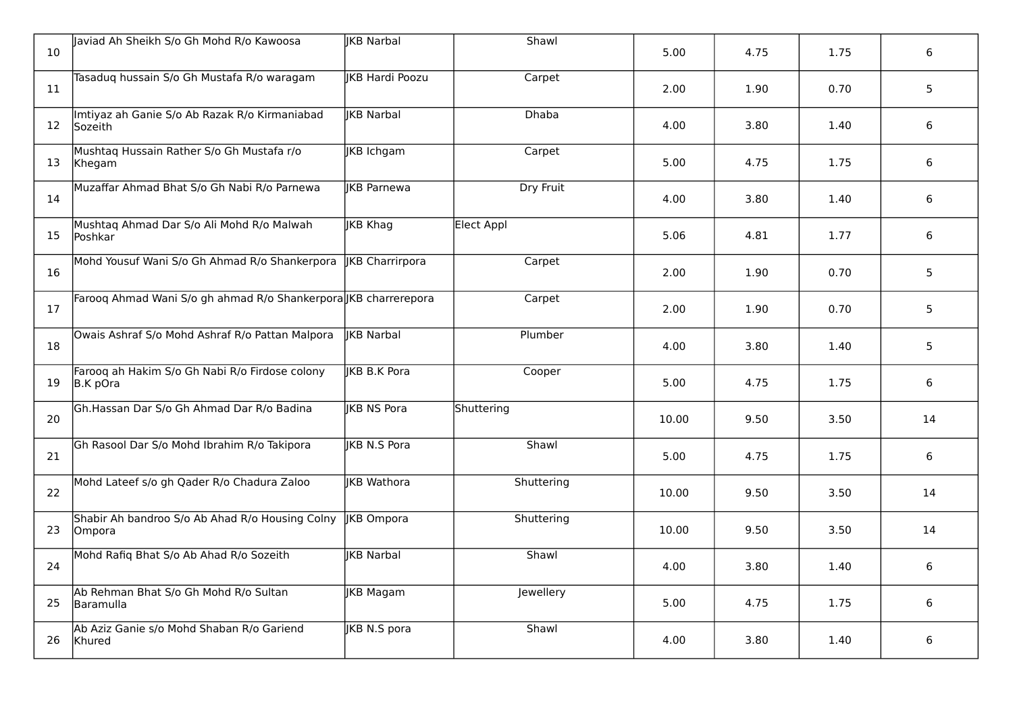| 10 | Javiad Ah Sheikh S/o Gh Mohd R/o Kawoosa                        | <b>IKB Narbal</b>      | Shawl        | 5.00  | 4.75 | 1.75 | 6               |
|----|-----------------------------------------------------------------|------------------------|--------------|-------|------|------|-----------------|
| 11 | Tasaduq hussain S/o Gh Mustafa R/o waragam                      | <b>IKB Hardi Poozu</b> | Carpet       | 2.00  | 1.90 | 0.70 | $5\overline{)}$ |
| 12 | Imtiyaz ah Ganie S/o Ab Razak R/o Kirmaniabad<br>Sozeith        | <b>IKB Narbal</b>      | <b>Dhaba</b> | 4.00  | 3.80 | 1.40 | 6               |
| 13 | Mushtaq Hussain Rather S/o Gh Mustafa r/o<br>Khegam             | JKB Ichgam             | Carpet       | 5.00  | 4.75 | 1.75 | 6               |
| 14 | Muzaffar Ahmad Bhat S/o Gh Nabi R/o Parnewa                     | <b>IKB Parnewa</b>     | Dry Fruit    | 4.00  | 3.80 | 1.40 | 6               |
| 15 | Mushtaq Ahmad Dar S/o Ali Mohd R/o Malwah<br>Poshkar            | JKB Khag               | Elect Appl   | 5.06  | 4.81 | 1.77 | 6               |
| 16 | Mohd Yousuf Wani S/o Gh Ahmad R/o Shankerpora                   | <b>IKB</b> Charrirpora | Carpet       | 2.00  | 1.90 | 0.70 | 5               |
| 17 | Faroog Ahmad Wani S/o gh ahmad R/o Shankerpora JKB charrerepora |                        | Carpet       | 2.00  | 1.90 | 0.70 | 5               |
| 18 | Owais Ashraf S/o Mohd Ashraf R/o Pattan Malpora                 | lIKB Narbal            | Plumber      | 4.00  | 3.80 | 1.40 | $5\phantom{.}$  |
| 19 | Farooq ah Hakim S/o Gh Nabi R/o Firdose colony<br>B.K pOra      | <b>IKB B.K Pora</b>    | Cooper       | 5.00  | 4.75 | 1.75 | 6               |
| 20 | Gh.Hassan Dar S/o Gh Ahmad Dar R/o Badina                       | <b>IKB NS Pora</b>     | Shuttering   | 10.00 | 9.50 | 3.50 | 14              |
| 21 | Gh Rasool Dar S/o Mohd Ibrahim R/o Takipora                     | <b>IKB N.S Pora</b>    | Shawl        | 5.00  | 4.75 | 1.75 | 6               |
| 22 | Mohd Lateef s/o gh Qader R/o Chadura Zaloo                      | <b>IKB</b> Wathora     | Shuttering   | 10.00 | 9.50 | 3.50 | 14              |
| 23 | Shabir Ah bandroo S/o Ab Ahad R/o Housing Colny<br>Ompora       | <b>JKB</b> Ompora      | Shuttering   | 10.00 | 9.50 | 3.50 | 14              |
| 24 | Mohd Rafiq Bhat S/o Ab Ahad R/o Sozeith                         | <b>IKB Narbal</b>      | Shawl        | 4.00  | 3.80 | 1.40 | 6               |
| 25 | Ab Rehman Bhat S/o Gh Mohd R/o Sultan<br>Baramulla              | JKB Magam              | Jewellery    | 5.00  | 4.75 | 1.75 | 6               |
| 26 | Ab Aziz Ganie s/o Mohd Shaban R/o Gariend<br>Khured             | JKB N.S pora           | Shawl        | 4.00  | 3.80 | 1.40 | 6               |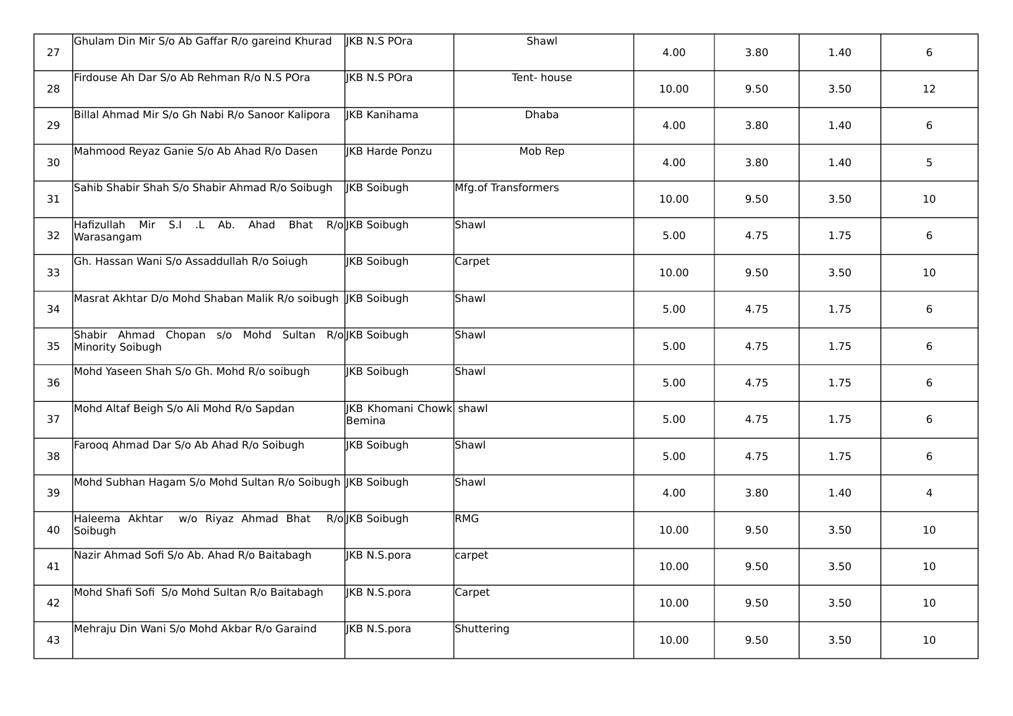| 27 | Ghulam Din Mir S/o Ab Gaffar R/o gareind Khurad                         | lIKB N.S POra                                   | Shawl               | 4.00  | 3.80 | 1.40 | 6              |
|----|-------------------------------------------------------------------------|-------------------------------------------------|---------------------|-------|------|------|----------------|
| 28 | Firdouse Ah Dar S/o Ab Rehman R/o N.S POra                              | <b>IKB N.S POra</b>                             | Tent-house          | 10.00 | 9.50 | 3.50 | 12             |
| 29 | Billal Ahmad Mir S/o Gh Nabi R/o Sanoor Kalipora                        | IKB Kanihama                                    | <b>Dhaba</b>        | 4.00  | 3.80 | 1.40 | 6              |
| 30 | Mahmood Reyaz Ganie S/o Ab Ahad R/o Dasen                               | <b>IKB Harde Ponzu</b>                          | Mob Rep             | 4.00  | 3.80 | 1.40 | 5              |
| 31 | Sahib Shabir Shah S/o Shabir Ahmad R/o Soibugh                          | <b>IKB Soibugh</b>                              | Mfg.of Transformers | 10.00 | 9.50 | 3.50 | 10             |
| 32 | Hafizullah Mir S.I .L Ab. Ahad Bhat R/o KB Soibugh<br>Warasangam        |                                                 | Shawl               | 5.00  | 4.75 | 1.75 | 6              |
| 33 | Gh. Hassan Wani S/o Assaddullah R/o Soiugh                              | <b>IKB</b> Soibugh                              | Carpet              | 10.00 | 9.50 | 3.50 | 10             |
| 34 | Masrat Akhtar D/o Mohd Shaban Malik R/o soibugh JKB Soibugh             |                                                 | Shawl               | 5.00  | 4.75 | 1.75 | 6              |
| 35 | Shabir Ahmad Chopan s/o Mohd Sultan R/ollKB Soibugh<br>Minority Soibugh |                                                 | Shawl               | 5.00  | 4.75 | 1.75 | 6              |
| 36 | Mohd Yaseen Shah S/o Gh. Mohd R/o soibugh                               | <b>IKB Soibugh</b>                              | Shawl               | 5.00  | 4.75 | 1.75 | 6              |
| 37 | Mohd Altaf Beigh S/o Ali Mohd R/o Sapdan                                | <b>IKB Khomani Chowk</b> shawl<br><b>Bemina</b> |                     | 5.00  | 4.75 | 1.75 | 6              |
| 38 | Farooq Ahmad Dar S/o Ab Ahad R/o Soibugh                                | <b>IKB Soibugh</b>                              | Shawl               | 5.00  | 4.75 | 1.75 | 6              |
| 39 | Mohd Subhan Hagam S/o Mohd Sultan R/o Soibugh JKB Soibugh               |                                                 | Shawl               | 4.00  | 3.80 | 1.40 | $\overline{4}$ |
| 40 | Haleema Akhtar w/o Riyaz Ahmad Bhat<br>Soibugh                          | R/olKB Soibugh                                  | RMG                 | 10.00 | 9.50 | 3.50 | 10             |
| 41 | Nazir Ahmad Sofi S/o Ab. Ahad R/o Baitabagh                             | JKB N.S.pora                                    | carpet              | 10.00 | 9.50 | 3.50 | 10             |
| 42 | Mohd Shafi Sofi S/o Mohd Sultan R/o Baitabagh                           | IKB N.S.pora                                    | Carpet              | 10.00 | 9.50 | 3.50 | 10             |
| 43 | Mehraju Din Wani S/o Mohd Akbar R/o Garaind                             | <b>JKB N.S.pora</b>                             | Shuttering          | 10.00 | 9.50 | 3.50 | 10             |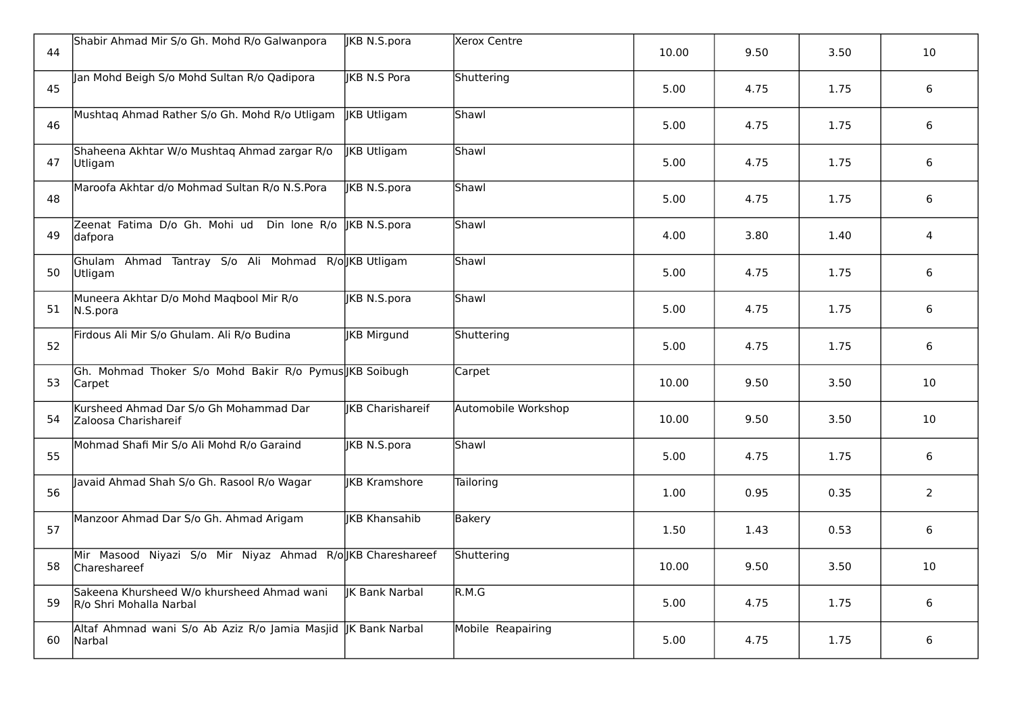| 44 | Shabir Ahmad Mir S/o Gh. Mohd R/o Galwanpora                               | JKB N.S.pora            | Xerox Centre        | 10.00 | 9.50 | 3.50 | 10             |
|----|----------------------------------------------------------------------------|-------------------------|---------------------|-------|------|------|----------------|
| 45 | Jan Mohd Beigh S/o Mohd Sultan R/o Qadipora                                | <b>IKB N.S Pora</b>     | Shuttering          | 5.00  | 4.75 | 1.75 | 6              |
| 46 | Mushtaq Ahmad Rather S/o Gh. Mohd R/o Utligam                              | JKB Utligam             | Shawl               | 5.00  | 4.75 | 1.75 | 6              |
| 47 | Shaheena Akhtar W/o Mushtaq Ahmad zargar R/o<br>Utligam                    | JKB Utligam             | Shawl               | 5.00  | 4.75 | 1.75 | 6              |
| 48 | Maroofa Akhtar d/o Mohmad Sultan R/o N.S.Pora                              | <b>IKB N.S.pora</b>     | Shawl               | 5.00  | 4.75 | 1.75 | 6              |
| 49 | Zeenat Fatima D/o Gh. Mohi ud Din lone R/o   KB N.S.pora<br>dafpora        |                         | Shawl               | 4.00  | 3.80 | 1.40 | 4              |
| 50 | Ghulam Ahmad Tantray S/o Ali Mohmad R/olKB Utligam<br>Utligam              |                         | Shawl               | 5.00  | 4.75 | 1.75 | 6              |
| 51 | Muneera Akhtar D/o Mohd Maqbool Mir R/o<br>N.S.pora                        | <b>JKB N.S.pora</b>     | Shawl               | 5.00  | 4.75 | 1.75 | 6              |
| 52 | Firdous Ali Mir S/o Ghulam. Ali R/o Budina                                 | JKB Mirgund             | Shuttering          | 5.00  | 4.75 | 1.75 | 6              |
| 53 | Gh. Mohmad Thoker S/o Mohd Bakir R/o Pymus KB Soibugh<br>Carpet            |                         | Carpet              | 10.00 | 9.50 | 3.50 | 10             |
| 54 | Kursheed Ahmad Dar S/o Gh Mohammad Dar<br>Zaloosa Charishareif             | <b>IKB</b> Charishareif | Automobile Workshop | 10.00 | 9.50 | 3.50 | 10             |
| 55 | Mohmad Shafi Mir S/o Ali Mohd R/o Garaind                                  | <b>JKB N.S.pora</b>     | Shawl               | 5.00  | 4.75 | 1.75 | 6              |
| 56 | Javaid Ahmad Shah S/o Gh. Rasool R/o Wagar                                 | <b>IKB Kramshore</b>    | <b>Tailoring</b>    | 1.00  | 0.95 | 0.35 | $\overline{2}$ |
| 57 | Manzoor Ahmad Dar S/o Gh. Ahmad Arigam                                     | <b>IKB Khansahib</b>    | <b>Bakery</b>       | 1.50  | 1.43 | 0.53 | 6              |
| 58 | Mir Masood Niyazi S/o Mir Niyaz Ahmad R/o JKB Chareshareef<br>Chareshareef |                         | Shuttering          | 10.00 | 9.50 | 3.50 | 10             |
| 59 | Sakeena Khursheed W/o khursheed Ahmad wani<br>R/o Shri Mohalla Narbal      | <b>K</b> Bank Narbal    | R.M.G               | 5.00  | 4.75 | 1.75 | 6              |
| 60 | Altaf Ahmnad wani S/o Ab Aziz R/o Jamia Masjid   K Bank Narbal<br>Narbal   |                         | Mobile Reapairing   | 5.00  | 4.75 | 1.75 | 6              |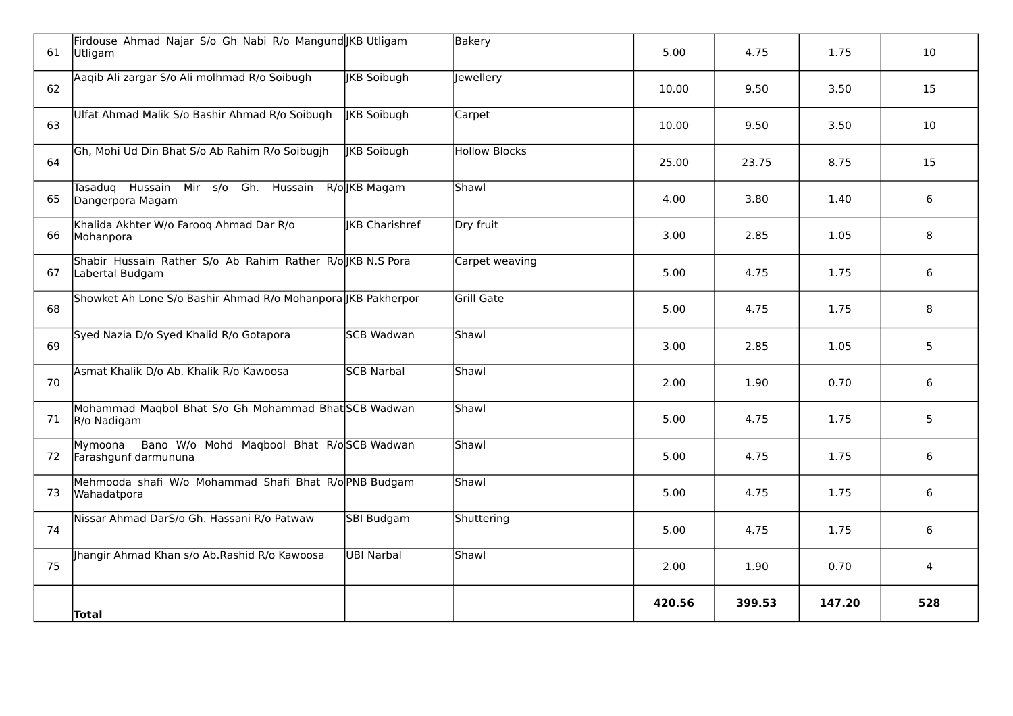| 61 | Firdouse Ahmad Najar S/o Gh Nabi R/o Mangund KB Utligam<br>Utligam           |                       | <b>Bakery</b>        | 5.00   | 4.75   | 1.75   | 10              |
|----|------------------------------------------------------------------------------|-----------------------|----------------------|--------|--------|--------|-----------------|
| 62 | Aaqib Ali zargar S/o Ali molhmad R/o Soibugh                                 | <b>JKB Soibugh</b>    | Jewellery            | 10.00  | 9.50   | 3.50   | 15              |
| 63 | Ulfat Ahmad Malik S/o Bashir Ahmad R/o Soibugh                               | <b>IKB Soibugh</b>    | Carpet               | 10.00  | 9.50   | 3.50   | 10              |
| 64 | Gh, Mohi Ud Din Bhat S/o Ab Rahim R/o Soibugjh                               | <b>IKB Soibugh</b>    | <b>Hollow Blocks</b> | 25.00  | 23.75  | 8.75   | 15              |
| 65 | Tasaduq Hussain Mir s/o Gh. Hussain R/olJKB Magam<br>Dangerpora Magam        |                       | Shawl                | 4.00   | 3.80   | 1.40   | 6               |
| 66 | Khalida Akhter W/o Faroog Ahmad Dar R/o<br>Mohanpora                         | <b>IKB Charishref</b> | Dry fruit            | 3.00   | 2.85   | 1.05   | 8               |
| 67 | Shabir Hussain Rather S/o Ab Rahim Rather R/o KB N.S Pora<br>Labertal Budgam |                       | Carpet weaving       | 5.00   | 4.75   | 1.75   | 6               |
| 68 | Showket Ah Lone S/o Bashir Ahmad R/o Mohanpora JKB Pakherpor                 |                       | Grill Gate           | 5.00   | 4.75   | 1.75   | 8               |
| 69 | Syed Nazia D/o Syed Khalid R/o Gotapora                                      | SCB Wadwan            | Shawl                | 3.00   | 2.85   | 1.05   | $5\phantom{.}$  |
| 70 | Asmat Khalik D/o Ab. Khalik R/o Kawoosa                                      | <b>SCB Narbal</b>     | Shawl                | 2.00   | 1.90   | 0.70   | 6               |
| 71 | Mohammad Maqbol Bhat S/o Gh Mohammad Bhat SCB Wadwan<br>R/o Nadigam          |                       | Shawl                | 5.00   | 4.75   | 1.75   | $5\overline{)}$ |
| 72 | Mymoona<br>Bano W/o Mohd Maqbool Bhat R/oSCB Wadwan<br>Farashgunf darmununa  |                       | Shawl                | 5.00   | 4.75   | 1.75   | 6               |
| 73 | Mehmooda shafi W/o Mohammad Shafi Bhat R/o PNB Budgam<br>Wahadatpora         |                       | Shawl                | 5.00   | 4.75   | 1.75   | 6               |
| 74 | Nissar Ahmad DarS/o Gh. Hassani R/o Patwaw                                   | SBI Budgam            | Shuttering           | 5.00   | 4.75   | 1.75   | 6               |
| 75 | Jhangir Ahmad Khan s/o Ab.Rashid R/o Kawoosa                                 | <b>UBI Narbal</b>     | Shawl                | 2.00   | 1.90   | 0.70   | 4               |
|    | Total                                                                        |                       |                      | 420.56 | 399.53 | 147.20 | 528             |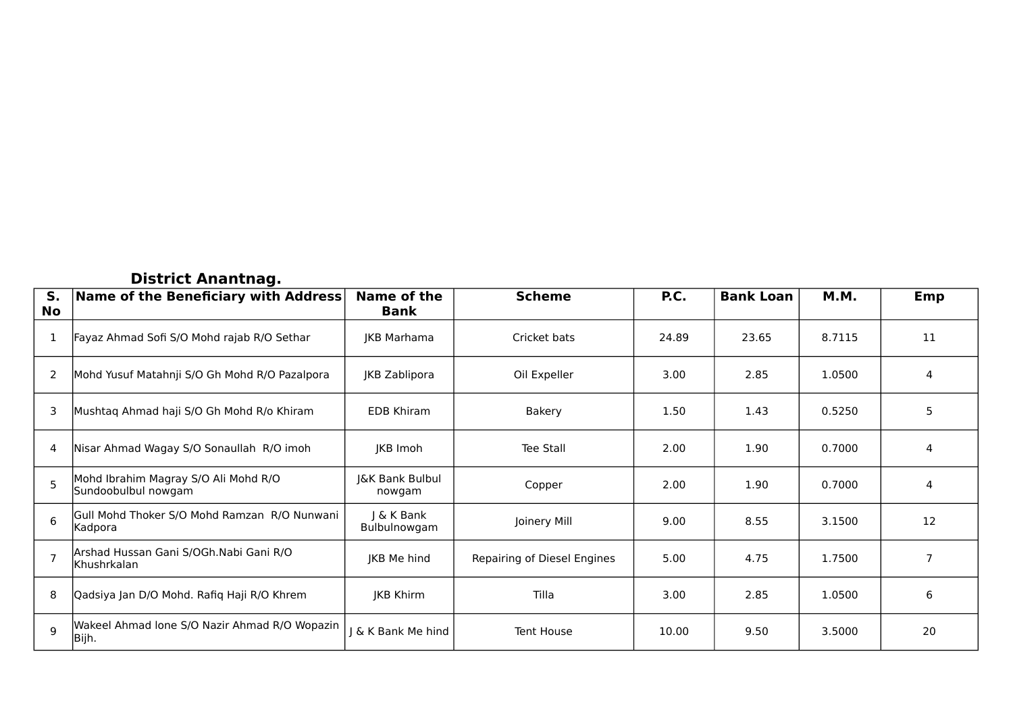#### **District Anantnag.**

| S.<br>No       | Name of the Beneficiary with Address                        | Name of the<br><b>Bank</b> | <b>Scheme</b>               | P.C.  | <b>Bank Loan</b> | M.M.   | Emp            |
|----------------|-------------------------------------------------------------|----------------------------|-----------------------------|-------|------------------|--------|----------------|
|                | Fayaz Ahmad Sofi S/O Mohd rajab R/O Sethar                  | <b>IKB Marhama</b>         | Cricket bats                | 24.89 | 23.65            | 8.7115 | 11             |
| 2              | Mohd Yusuf Matahnji S/O Gh Mohd R/O Pazalpora               | JKB Zablipora              | Oil Expeller                | 3.00  | 2.85             | 1.0500 | 4              |
| 3              | Mushtaq Ahmad haji S/O Gh Mohd R/o Khiram                   | <b>EDB Khiram</b>          | Bakery                      | 1.50  | 1.43             | 0.5250 | 5              |
| 4              | Nisar Ahmad Wagay S/O Sonaullah R/O imoh                    | JKB Imoh                   | Tee Stall                   | 2.00  | 1.90             | 0.7000 | 4              |
| $\overline{5}$ | Mohd Ibrahim Magray S/O Ali Mohd R/O<br>Sundoobulbul nowgam | J&K Bank Bulbul<br>nowgam  | Copper                      | 2.00  | 1.90             | 0.7000 | 4              |
| 6              | Gull Mohd Thoker S/O Mohd Ramzan R/O Nunwani<br>Kadpora     | J & K Bank<br>Bulbulnowgam | Joinery Mill                | 9.00  | 8.55             | 3.1500 | 12             |
|                | Arshad Hussan Gani S/OGh.Nabi Gani R/O<br>Khushrkalan       | JKB Me hind                | Repairing of Diesel Engines | 5.00  | 4.75             | 1.7500 | $\overline{7}$ |
| 8              | Qadsiya Jan D/O Mohd. Rafiq Haji R/O Khrem                  | JKB Khirm                  | Tilla                       | 3.00  | 2.85             | 1.0500 | 6              |
| 9              | Wakeel Ahmad lone S/O Nazir Ahmad R/O Wopazin<br>Bijh.      | J & K Bank Me hind         | <b>Tent House</b>           | 10.00 | 9.50             | 3.5000 | 20             |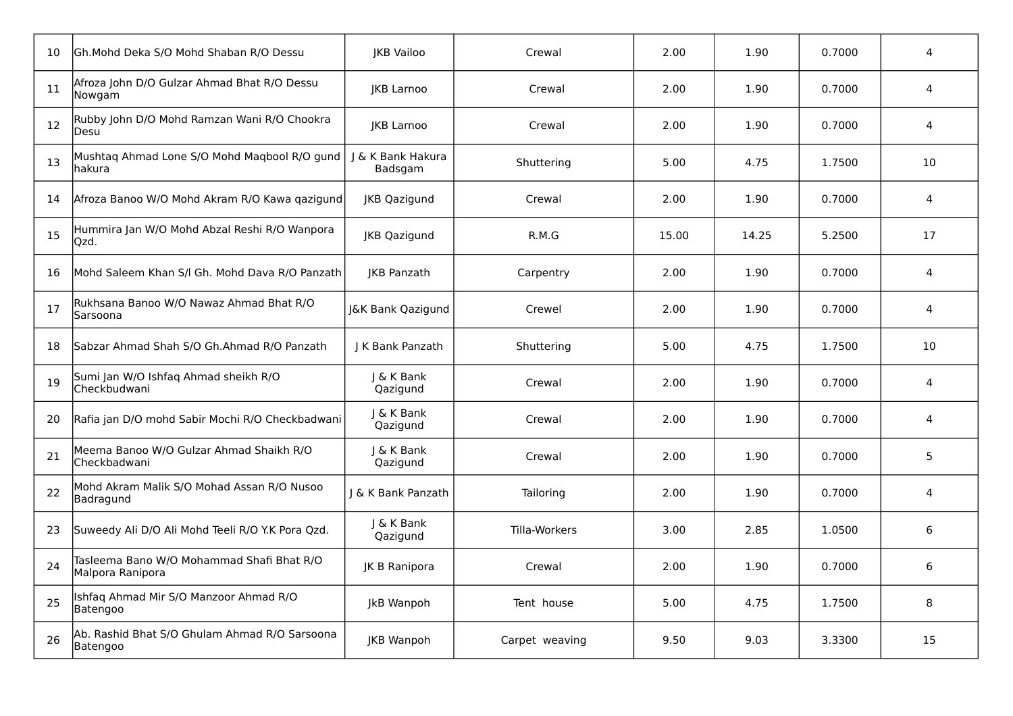| 10 | Gh.Mohd Deka S/O Mohd Shaban R/O Dessu                        | <b>IKB Vailoo</b>            | Crewal         | 2.00  | 1.90  | 0.7000 | 4  |
|----|---------------------------------------------------------------|------------------------------|----------------|-------|-------|--------|----|
| 11 | Afroza John D/O Gulzar Ahmad Bhat R/O Dessu<br>Nowgam         | JKB Larnoo                   | Crewal         | 2.00  | 1.90  | 0.7000 | 4  |
| 12 | Rubby John D/O Mohd Ramzan Wani R/O Chookra<br>Desu           | <b>JKB Larnoo</b>            | Crewal         | 2.00  | 1.90  | 0.7000 | 4  |
| 13 | Mushtaq Ahmad Lone S/O Mohd Maqbool R/O gund<br>hakura        | J & K Bank Hakura<br>Badsgam | Shuttering     | 5.00  | 4.75  | 1.7500 | 10 |
| 14 | Afroza Banoo W/O Mohd Akram R/O Kawa qazigund                 | JKB Qazigund                 | Crewal         | 2.00  | 1.90  | 0.7000 | 4  |
| 15 | Hummira Jan W/O Mohd Abzal Reshi R/O Wanpora<br>Qzd.          | JKB Qazigund                 | R.M.G          | 15.00 | 14.25 | 5.2500 | 17 |
| 16 | Mohd Saleem Khan S/I Gh. Mohd Dava R/O Panzath                | JKB Panzath                  | Carpentry      | 2.00  | 1.90  | 0.7000 | 4  |
| 17 | Rukhsana Banoo W/O Nawaz Ahmad Bhat R/O<br>Sarsoona           | J&K Bank Qazigund            | Crewel         | 2.00  | 1.90  | 0.7000 | 4  |
| 18 | Sabzar Ahmad Shah S/O Gh.Ahmad R/O Panzath                    | J K Bank Panzath             | Shuttering     | 5.00  | 4.75  | 1.7500 | 10 |
| 19 | Sumi Jan W/O Ishfaq Ahmad sheikh R/O<br>Checkbudwani          | J & K Bank<br>Qazigund       | Crewal         | 2.00  | 1.90  | 0.7000 | 4  |
| 20 | Rafia jan D/O mohd Sabir Mochi R/O Checkbadwani               | J & K Bank<br>Qazigund       | Crewal         | 2.00  | 1.90  | 0.7000 | 4  |
| 21 | Meema Banoo W/O Gulzar Ahmad Shaikh R/O<br>Checkbadwani       | J & K Bank<br>Qazigund       | Crewal         | 2.00  | 1.90  | 0.7000 | 5  |
| 22 | Mohd Akram Malik S/O Mohad Assan R/O Nusoo<br>Badragund       | & K Bank Panzath             | Tailoring      | 2.00  | 1.90  | 0.7000 | 4  |
| 23 | Suweedy Ali D/O Ali Mohd Teeli R/O Y.K Pora Qzd.              | J & K Bank<br>Qazigund       | Tilla-Workers  | 3.00  | 2.85  | 1.0500 | 6  |
| 24 | Tasleema Bano W/O Mohammad Shafi Bhat R/O<br>Malpora Ranipora | JK B Ranipora                | Crewal         | 2.00  | 1.90  | 0.7000 | 6  |
| 25 | Ishfaq Ahmad Mir S/O Manzoor Ahmad R/O<br>Batengoo            | JkB Wanpoh                   | Tent house     | 5.00  | 4.75  | 1.7500 | 8  |
| 26 | Ab. Rashid Bhat S/O Ghulam Ahmad R/O Sarsoona<br>Batengoo     | JKB Wanpoh                   | Carpet weaving | 9.50  | 9.03  | 3.3300 | 15 |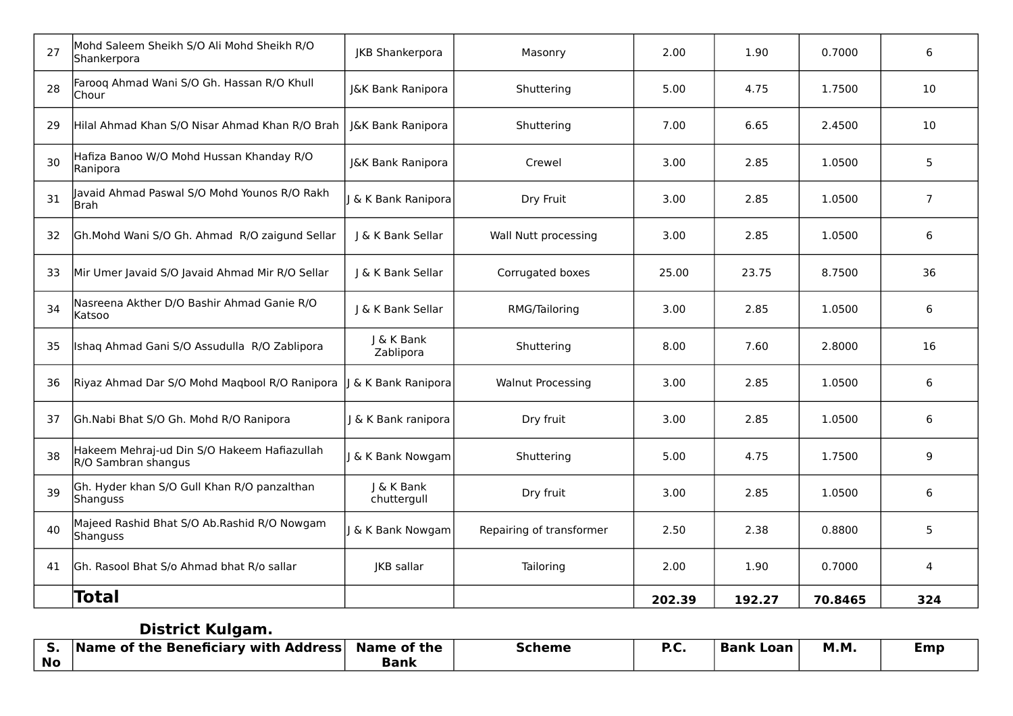| 27 | Mohd Saleem Sheikh S/O Ali Mohd Sheikh R/O<br>Shankerpora          | JKB Shankerpora           | Masonry                  | 2.00   | 1.90   | 0.7000  | 6              |
|----|--------------------------------------------------------------------|---------------------------|--------------------------|--------|--------|---------|----------------|
| 28 | Faroog Ahmad Wani S/O Gh. Hassan R/O Khull<br>Chour                | J&K Bank Ranipora         | Shuttering               | 5.00   | 4.75   | 1.7500  | 10             |
| 29 | Hilal Ahmad Khan S/O Nisar Ahmad Khan R/O Brah                     | J&K Bank Ranipora         | Shuttering               | 7.00   | 6.65   | 2.4500  | 10             |
| 30 | Hafiza Banoo W/O Mohd Hussan Khanday R/O<br>Ranipora               | J&K Bank Ranipora         | Crewel                   | 3.00   | 2.85   | 1.0500  | 5              |
| 31 | Javaid Ahmad Paswal S/O Mohd Younos R/O Rakh<br>Brah               | J & K Bank Ranipora       | Dry Fruit                | 3.00   | 2.85   | 1.0500  | $\overline{7}$ |
| 32 | Gh.Mohd Wani S/O Gh. Ahmad R/O zaigund Sellar                      | & K Bank Sellar           | Wall Nutt processing     | 3.00   | 2.85   | 1.0500  | 6              |
| 33 | Mir Umer Javaid S/O Javaid Ahmad Mir R/O Sellar                    | I & K Bank Sellar         | Corrugated boxes         | 25.00  | 23.75  | 8.7500  | 36             |
| 34 | Nasreena Akther D/O Bashir Ahmad Ganie R/O<br>Katsoo               | J & K Bank Sellar         | RMG/Tailoring            | 3.00   | 2.85   | 1.0500  | 6              |
| 35 | Ishaq Ahmad Gani S/O Assudulla R/O Zablipora                       | J & K Bank<br>Zablipora   | Shuttering               | 8.00   | 7.60   | 2.8000  | 16             |
| 36 | Riyaz Ahmad Dar S/O Mohd Magbool R/O Ranipora                      | & K Bank Ranipora         | <b>Walnut Processing</b> | 3.00   | 2.85   | 1.0500  | 6              |
| 37 | Gh.Nabi Bhat S/O Gh. Mohd R/O Ranipora                             | & K Bank ranipora         | Dry fruit                | 3.00   | 2.85   | 1.0500  | 6              |
| 38 | Hakeem Mehraj-ud Din S/O Hakeem Hafiazullah<br>R/O Sambran shangus | J & K Bank Nowgam         | Shuttering               | 5.00   | 4.75   | 1.7500  | 9              |
| 39 | Gh. Hyder khan S/O Gull Khan R/O panzalthan<br>Shanguss            | J & K Bank<br>chuttergull | Dry fruit                | 3.00   | 2.85   | 1.0500  | 6              |
| 40 | Majeed Rashid Bhat S/O Ab.Rashid R/O Nowgam<br>Shanguss            | & K Bank Nowgam           | Repairing of transformer | 2.50   | 2.38   | 0.8800  | 5              |
| 41 | Gh. Rasool Bhat S/o Ahmad bhat R/o sallar                          | JKB sallar                | Tailoring                | 2.00   | 1.90   | 0.7000  | 4              |
|    | Total                                                              |                           |                          | 202.39 | 192.27 | 70.8465 | 324            |

# **District Kulgam.**

|           | <b>Name of the Beneficiary with Address</b> | Name of the | <b>Scheme</b> | D C<br>יי | Bank<br>Loan | <b>M.M</b> . | Emp |
|-----------|---------------------------------------------|-------------|---------------|-----------|--------------|--------------|-----|
| <b>No</b> |                                             | Bank        |               |           |              |              |     |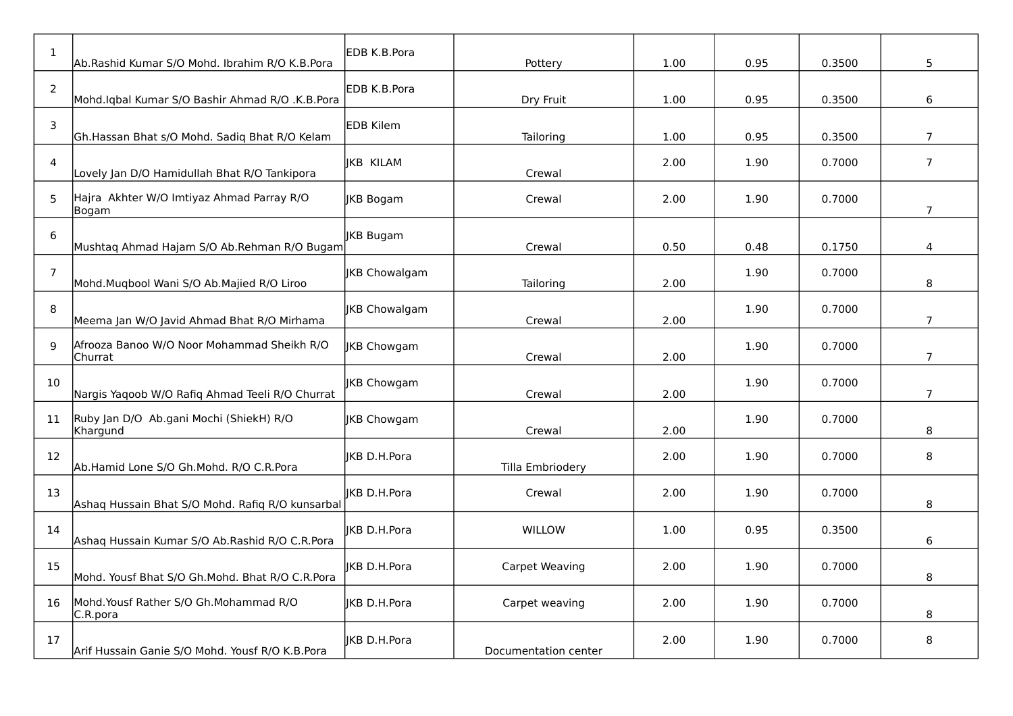| $\mathbf{1}$   | Ab.Rashid Kumar S/O Mohd. Ibrahim R/O K.B.Pora        | EDB K.B.Pora        | Pottery              | 1.00 | 0.95 | 0.3500 | 5              |
|----------------|-------------------------------------------------------|---------------------|----------------------|------|------|--------|----------------|
| $\overline{2}$ | Mohd.Iqbal Kumar S/O Bashir Ahmad R/O .K.B.Pora       | EDB K.B.Pora        | Dry Fruit            | 1.00 | 0.95 | 0.3500 | 6              |
| 3              | Gh.Hassan Bhat s/O Mohd. Sadiq Bhat R/O Kelam         | <b>EDB</b> Kilem    | Tailoring            | 1.00 | 0.95 | 0.3500 | $\overline{7}$ |
| 4              | Lovely Jan D/O Hamidullah Bhat R/O Tankipora          | JKB KILAM           | Crewal               | 2.00 | 1.90 | 0.7000 | $\overline{7}$ |
| 5              | Hajra Akhter W/O Imtiyaz Ahmad Parray R/O<br> Bogam   | JKB Bogam           | Crewal               | 2.00 | 1.90 | 0.7000 | $\overline{7}$ |
| 6              | Mushtaq Ahmad Hajam S/O Ab.Rehman R/O Bugam           | JKB Bugam           | Crewal               | 0.50 | 0.48 | 0.1750 | 4              |
| $\overline{7}$ | Mohd.Muqbool Wani S/O Ab.Majied R/O Liroo             | JKB Chowalgam       | Tailoring            | 2.00 | 1.90 | 0.7000 | 8              |
| 8              | Meema Jan W/O Javid Ahmad Bhat R/O Mirhama            | JKB Chowalgam       | Crewal               | 2.00 | 1.90 | 0.7000 | $\overline{7}$ |
| 9              | Afrooza Banoo W/O Noor Mohammad Sheikh R/O<br>Churrat | IKB Chowgam         | Crewal               | 2.00 | 1.90 | 0.7000 | $\overline{7}$ |
| 10             | Nargis Yaqoob W/O Rafiq Ahmad Teeli R/O Churrat       | JKB Chowgam         | Crewal               | 2.00 | 1.90 | 0.7000 | $\overline{7}$ |
| 11             | Ruby Jan D/O Ab.gani Mochi (ShiekH) R/O<br>Khargund   | JKB Chowgam         | Crewal               | 2.00 | 1.90 | 0.7000 | 8              |
| 12             | Ab.Hamid Lone S/O Gh.Mohd. R/O C.R.Pora               | IKB D.H.Pora        | Tilla Embriodery     | 2.00 | 1.90 | 0.7000 | 8              |
| 13             | Ashaq Hussain Bhat S/O Mohd. Rafiq R/O kunsarbal      | <b>IKB D.H.Pora</b> | Crewal               | 2.00 | 1.90 | 0.7000 | 8              |
| 14             | Ashaq Hussain Kumar S/O Ab.Rashid R/O C.R.Pora        | IKB D.H.Pora        | <b>WILLOW</b>        | 1.00 | 0.95 | 0.3500 | 6              |
| 15             | Mohd. Yousf Bhat S/O Gh.Mohd. Bhat R/O C.R.Pora       | IKB D.H.Pora        | Carpet Weaving       | 2.00 | 1.90 | 0.7000 | 8              |
| 16             | Mohd. Yousf Rather S/O Gh. Mohammad R/O<br>C.R.pora   | IKB D.H.Pora        | Carpet weaving       | 2.00 | 1.90 | 0.7000 | 8              |
| 17             | Arif Hussain Ganie S/O Mohd. Yousf R/O K.B.Pora       | JKB D.H.Pora        | Documentation center | 2.00 | 1.90 | 0.7000 | 8              |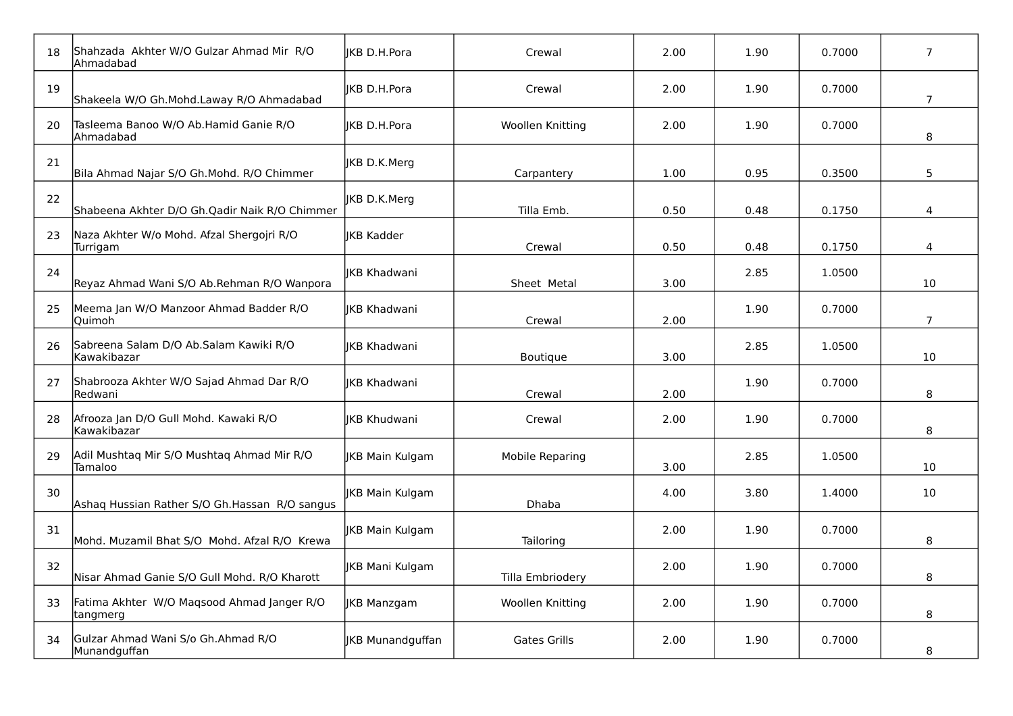| 18 | Shahzada Akhter W/O Gulzar Ahmad Mir R/O<br>Ahmadabad  | <b>IKB D.H.Pora</b>    | Crewal              | 2.00 | 1.90 | 0.7000 | $\overline{7}$ |
|----|--------------------------------------------------------|------------------------|---------------------|------|------|--------|----------------|
| 19 | Shakeela W/O Gh.Mohd.Laway R/O Ahmadabad               | IKB D.H.Pora           | Crewal              | 2.00 | 1.90 | 0.7000 | $\overline{7}$ |
| 20 | Tasleema Banoo W/O Ab.Hamid Ganie R/O<br>Ahmadabad     | <b>IKB D.H.Pora</b>    | Woollen Knitting    | 2.00 | 1.90 | 0.7000 | 8              |
| 21 | Bila Ahmad Najar S/O Gh.Mohd. R/O Chimmer              | <b>IKB D.K.Merg</b>    | Carpantery          | 1.00 | 0.95 | 0.3500 | 5              |
| 22 | Shabeena Akhter D/O Gh.Qadir Naik R/O Chimmer          | JKB D.K.Merg           | Tilla Emb.          | 0.50 | 0.48 | 0.1750 | 4              |
| 23 | Naza Akhter W/o Mohd. Afzal Shergojri R/O<br>Turrigam  | <b>JKB Kadder</b>      | Crewal              | 0.50 | 0.48 | 0.1750 | 4              |
| 24 | Reyaz Ahmad Wani S/O Ab.Rehman R/O Wanpora             | <b>IKB Khadwani</b>    | Sheet Metal         | 3.00 | 2.85 | 1.0500 | 10             |
| 25 | Meema Jan W/O Manzoor Ahmad Badder R/O<br>Quimoh       | <b>IKB Khadwani</b>    | Crewal              | 2.00 | 1.90 | 0.7000 | $\overline{7}$ |
| 26 | Sabreena Salam D/O Ab.Salam Kawiki R/O<br>Kawakibazar  | IKB Khadwani           | Boutique            | 3.00 | 2.85 | 1.0500 | 10             |
| 27 | Shabrooza Akhter W/O Sajad Ahmad Dar R/O<br>Redwani    | <b>IKB Khadwani</b>    | Crewal              | 2.00 | 1.90 | 0.7000 | 8              |
| 28 | Afrooza Jan D/O Gull Mohd. Kawaki R/O<br>Kawakibazar   | <b>IKB Khudwani</b>    | Crewal              | 2.00 | 1.90 | 0.7000 | 8              |
| 29 | Adil Mushtaq Mir S/O Mushtaq Ahmad Mir R/O<br>Tamaloo  | <b>JKB Main Kulgam</b> | Mobile Reparing     | 3.00 | 2.85 | 1.0500 | 10             |
| 30 | Ashaq Hussian Rather S/O Gh.Hassan R/O sangus          | <b>IKB Main Kulgam</b> | Dhaba               | 4.00 | 3.80 | 1.4000 | 10             |
| 31 | Mohd. Muzamil Bhat S/O Mohd. Afzal R/O Krewa           | <b>JKB Main Kulgam</b> | Tailoring           | 2.00 | 1.90 | 0.7000 | 8              |
| 32 | Nisar Ahmad Ganie S/O Gull Mohd. R/O Kharott           | JKB Mani Kulgam        | Tilla Embriodery    | 2.00 | 1.90 | 0.7000 | 8              |
| 33 | Fatima Akhter W/O Maqsood Ahmad Janger R/O<br>tangmerg | <b>JKB Manzgam</b>     | Woollen Knitting    | 2.00 | 1.90 | 0.7000 | 8              |
| 34 | Gulzar Ahmad Wani S/o Gh.Ahmad R/O<br>Munandguffan     | JKB Munandguffan       | <b>Gates Grills</b> | 2.00 | 1.90 | 0.7000 | 8              |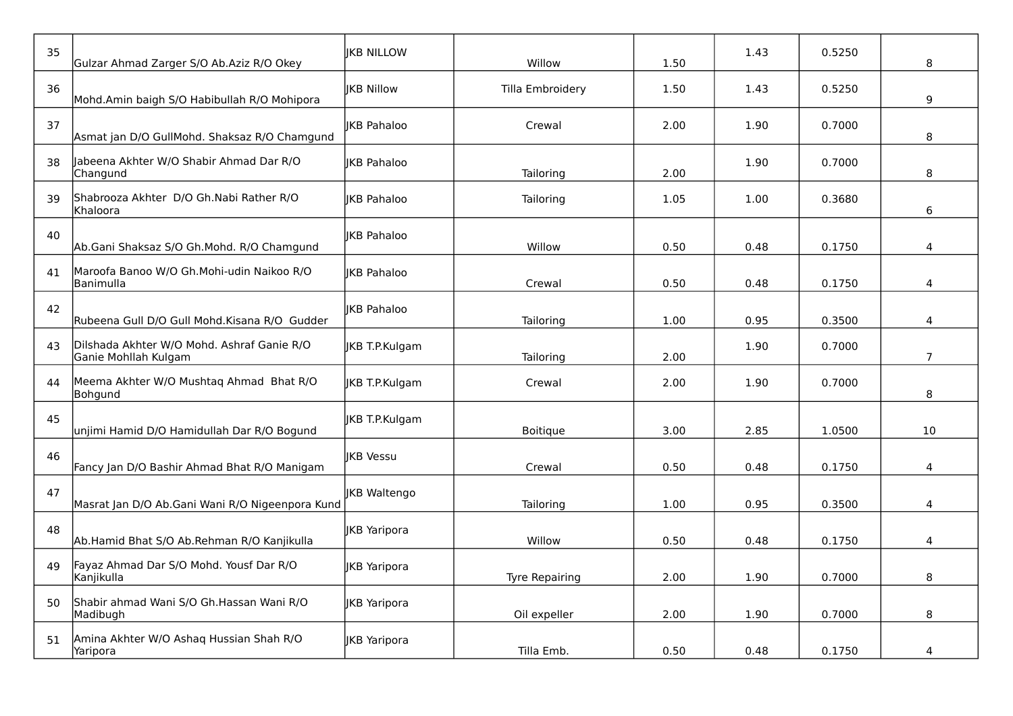| 35 | Gulzar Ahmad Zarger S/O Ab.Aziz R/O Okey                           | <b>IKB NILLOW</b>   | Willow           | 1.50 | 1.43 | 0.5250 | 8              |
|----|--------------------------------------------------------------------|---------------------|------------------|------|------|--------|----------------|
| 36 | Mohd.Amin baigh S/O Habibullah R/O Mohipora                        | <b>IKB Nillow</b>   | Tilla Embroidery | 1.50 | 1.43 | 0.5250 | 9              |
| 37 | Asmat jan D/O GullMohd. Shaksaz R/O Chamgund                       | <b>IKB Pahaloo</b>  | Crewal           | 2.00 | 1.90 | 0.7000 | 8              |
| 38 | Jabeena Akhter W/O Shabir Ahmad Dar R/O<br>Changund                | <b>IKB Pahaloo</b>  | Tailoring        | 2.00 | 1.90 | 0.7000 | 8              |
| 39 | Shabrooza Akhter D/O Gh.Nabi Rather R/O<br>Khaloora                | <b>IKB Pahaloo</b>  | Tailoring        | 1.05 | 1.00 | 0.3680 | 6              |
| 40 | Ab.Gani Shaksaz S/O Gh.Mohd. R/O Chamgund                          | <b>IKB Pahaloo</b>  | Willow           | 0.50 | 0.48 | 0.1750 | 4              |
| 41 | Maroofa Banoo W/O Gh.Mohi-udin Naikoo R/O<br>Banimulla             | <b>IKB Pahaloo</b>  | Crewal           | 0.50 | 0.48 | 0.1750 | 4              |
| 42 | Rubeena Gull D/O Gull Mohd.Kisana R/O Gudder                       | <b>IKB Pahaloo</b>  | Tailoring        | 1.00 | 0.95 | 0.3500 | 4              |
| 43 | Dilshada Akhter W/O Mohd. Ashraf Ganie R/O<br>Ganie Mohllah Kulgam | JKB T.P.Kulgam      | Tailoring        | 2.00 | 1.90 | 0.7000 | $\overline{7}$ |
| 44 | Meema Akhter W/O Mushtaq Ahmad Bhat R/O<br>Bohgund                 | JKB T.P.Kulgam      | Crewal           | 2.00 | 1.90 | 0.7000 | 8              |
| 45 | unjimi Hamid D/O Hamidullah Dar R/O Bogund                         | JKB T.P.Kulgam      | <b>Boitique</b>  | 3.00 | 2.85 | 1.0500 | 10             |
| 46 | Fancy Jan D/O Bashir Ahmad Bhat R/O Manigam                        | JKB Vessu           | Crewal           | 0.50 | 0.48 | 0.1750 | 4              |
| 47 | Masrat Jan D/O Ab.Gani Wani R/O Nigeenpora Kund                    | IKB Waltengo        | Tailoring        | 1.00 | 0.95 | 0.3500 | 4              |
| 48 | Ab.Hamid Bhat S/O Ab.Rehman R/O Kanjikulla                         | JKB Yaripora        | Willow           | 0.50 | 0.48 | 0.1750 | 4              |
| 49 | Fayaz Ahmad Dar S/O Mohd. Yousf Dar R/O<br>Kanjikulla              | JKB Yaripora        | Tyre Repairing   | 2.00 | 1.90 | 0.7000 | 8              |
| 50 | Shabir ahmad Wani S/O Gh. Hassan Wani R/O<br>Madibugh              | <b>IKB Yaripora</b> | Oil expeller     | 2.00 | 1.90 | 0.7000 | 8              |
| 51 | Amina Akhter W/O Ashag Hussian Shah R/O<br>Yaripora                | JKB Yaripora        | Tilla Emb.       | 0.50 | 0.48 | 0.1750 | 4              |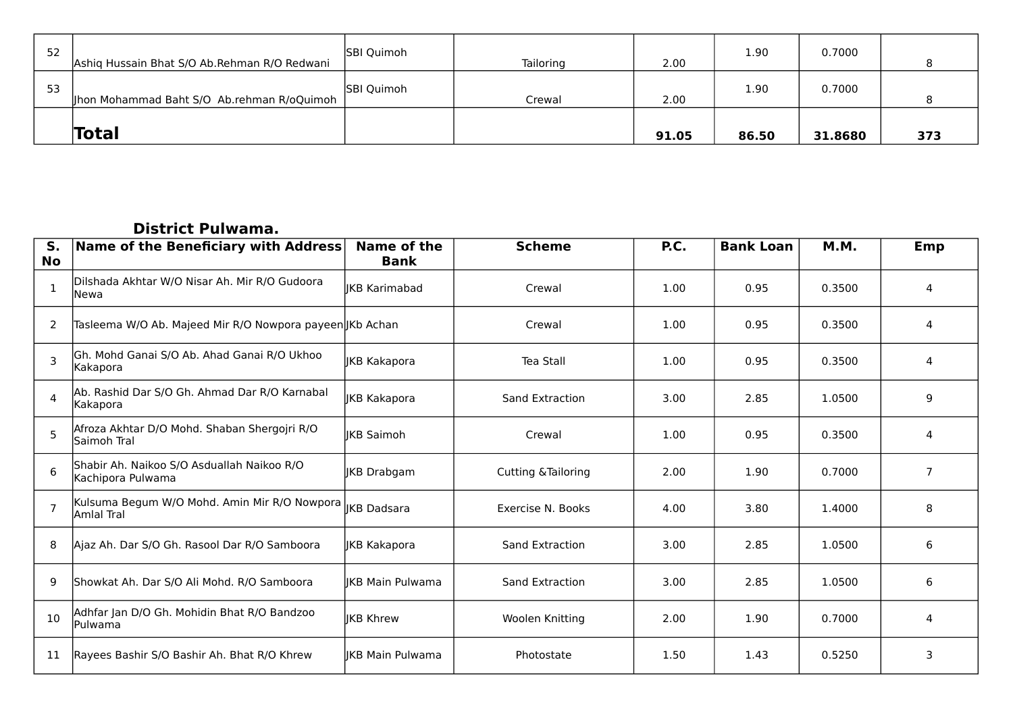| 52 | Ashiq Hussain Bhat S/O Ab.Rehman R/O Redwani | <b>SBI Quimoh</b> | Tailoring | 2.00  | 1.90  | 0.7000  |     |
|----|----------------------------------------------|-------------------|-----------|-------|-------|---------|-----|
| 53 | Jhon Mohammad Baht S/O Ab.rehman R/oQuimoh   | <b>SBI Quimoh</b> | Crewal    | 2.00  | 1.90  | 0.7000  |     |
|    | Total                                        |                   |           | 91.05 | 86.50 | 31.8680 | 373 |

#### **District Pulwama.**

| S.<br><b>No</b> | Name of the Beneficiary with Address                                   | Name of the<br><b>Bank</b> | <b>Scheme</b>                  | P.C. | <b>Bank Loan</b> | <b>M.M.</b> | Emp            |
|-----------------|------------------------------------------------------------------------|----------------------------|--------------------------------|------|------------------|-------------|----------------|
| 1               | Dilshada Akhtar W/O Nisar Ah. Mir R/O Gudoora<br>Newa                  | <b>IKB Karimabad</b>       | Crewal                         | 1.00 | 0.95             | 0.3500      | 4              |
| 2               | Tasleema W/O Ab. Majeed Mir R/O Nowpora payeen JKb Achan               |                            | Crewal                         | 1.00 | 0.95             | 0.3500      |                |
| 3               | lGh. Mohd Ganai S/O Ab. Ahad Ganai R/O Ukhoo<br>Kakapora               | JKB Kakapora               | Tea Stall                      | 1.00 | 0.95             | 0.3500      | 4              |
| $\overline{4}$  | Ab. Rashid Dar S/O Gh. Ahmad Dar R/O Karnabal<br>Kakapora              | <b>IKB Kakapora</b>        | Sand Extraction                | 3.00 | 2.85             | 1.0500      | 9              |
| 5               | Afroza Akhtar D/O Mohd. Shaban Shergojri R/O<br>Saimoh Tral            | lIKB Saimoh                | Crewal                         | 1.00 | 0.95             | 0.3500      | 4              |
| 6               | Shabir Ah. Naikoo S/O Asduallah Naikoo R/O<br>Kachipora Pulwama        | <b>IKB Drabgam</b>         | <b>Cutting &amp; Tailoring</b> | 2.00 | 1.90             | 0.7000      | $\overline{7}$ |
| $\overline{7}$  | Kulsuma Begum W/O Mohd. Amin Mir R/O Nowpora  KB Dadsara<br>Amlal Tral |                            | Exercise N. Books              | 4.00 | 3.80             | 1.4000      | 8              |
| 8               | Ajaz Ah. Dar S/O Gh. Rasool Dar R/O Samboora                           | JKB Kakapora               | Sand Extraction                | 3.00 | 2.85             | 1.0500      | 6              |
| 9               | Showkat Ah. Dar S/O Ali Mohd. R/O Samboora                             | lIKB Main Pulwama          | Sand Extraction                | 3.00 | 2.85             | 1.0500      | 6              |
| 10              | Adhfar Jan D/O Gh. Mohidin Bhat R/O Bandzoo<br>lPulwama                | <b>IKB Khrew</b>           | Woolen Knitting                | 2.00 | 1.90             | 0.7000      | 4              |
| 11              | Rayees Bashir S/O Bashir Ah. Bhat R/O Khrew                            | lIKB Main Pulwama          | Photostate                     | 1.50 | 1.43             | 0.5250      | 3              |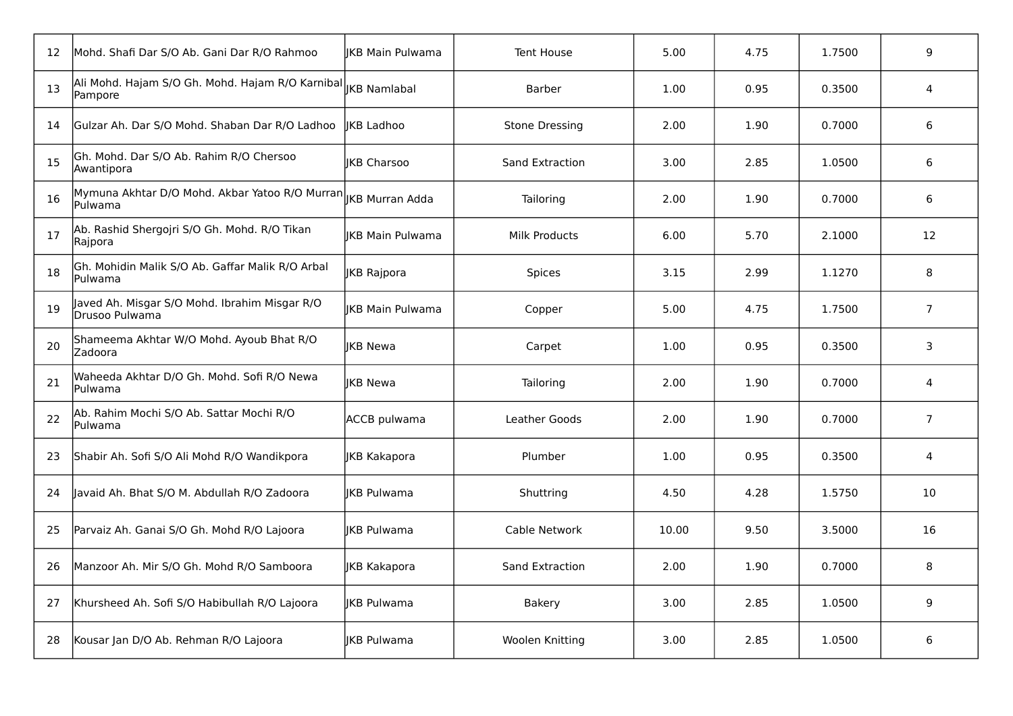| 12 | Mohd. Shafi Dar S/O Ab. Gani Dar R/O Rahmoo                                             | lIKB Main Pulwama       | <b>Tent House</b>      | 5.00  | 4.75 | 1.7500 | 9              |
|----|-----------------------------------------------------------------------------------------|-------------------------|------------------------|-------|------|--------|----------------|
| 13 | Ali Mohd. Hajam S/O Gh. Mohd. Hajam R/O Karnibal $\vert_{\rm JKB}$ Namlabal<br>Pampore  |                         | Barber                 | 1.00  | 0.95 | 0.3500 | 4              |
| 14 | Gulzar Ah. Dar S/O Mohd. Shaban Dar R/O Ladhoo                                          | lIKB Ladhoo             | <b>Stone Dressing</b>  | 2.00  | 1.90 | 0.7000 | 6              |
| 15 | Gh. Mohd. Dar S/O Ab. Rahim R/O Chersoo<br>Awantipora                                   | <b>IKB Charsoo</b>      | <b>Sand Extraction</b> | 3.00  | 2.85 | 1.0500 | 6              |
| 16 | Mymuna Akhtar D/O Mohd. Akbar Yatoo R/O Murran $\vert_{\rm JKB}$ Murran Adda<br>Pulwama |                         | Tailoring              | 2.00  | 1.90 | 0.7000 | 6              |
| 17 | Ab. Rashid Shergojri S/O Gh. Mohd. R/O Tikan<br> Rajpora                                | <b>IKB Main Pulwama</b> | <b>Milk Products</b>   | 6.00  | 5.70 | 2.1000 | 12             |
| 18 | Gh. Mohidin Malik S/O Ab. Gaffar Malik R/O Arbal<br>lPulwama                            | JKB Rajpora             | <b>Spices</b>          | 3.15  | 2.99 | 1.1270 | 8              |
| 19 | Javed Ah. Misgar S/O Mohd. Ibrahim Misgar R/O<br>lDrusoo Pulwama                        | <b>IKB Main Pulwama</b> | Copper                 | 5.00  | 4.75 | 1.7500 | $\overline{7}$ |
| 20 | Shameema Akhtar W/O Mohd. Ayoub Bhat R/O<br>Zadoora                                     | <b>JKB Newa</b>         | Carpet                 | 1.00  | 0.95 | 0.3500 | 3              |
| 21 | Waheeda Akhtar D/O Gh. Mohd. Sofi R/O Newa<br>lPulwama                                  | <b>IKB Newa</b>         | Tailoring              | 2.00  | 1.90 | 0.7000 | 4              |
| 22 | Ab. Rahim Mochi S/O Ab. Sattar Mochi R/O<br>lPulwama                                    | ACCB pulwama            | Leather Goods          | 2.00  | 1.90 | 0.7000 | $\overline{7}$ |
| 23 | Shabir Ah. Sofi S/O Ali Mohd R/O Wandikpora                                             | JKB Kakapora            | Plumber                | 1.00  | 0.95 | 0.3500 | 4              |
| 24 | Javaid Ah. Bhat S/O M. Abdullah R/O Zadoora                                             | <b>IKB Pulwama</b>      | Shuttring              | 4.50  | 4.28 | 1.5750 | 10             |
| 25 | Parvaiz Ah. Ganai S/O Gh. Mohd R/O Lajoora                                              | <b>IKB Pulwama</b>      | Cable Network          | 10.00 | 9.50 | 3.5000 | 16             |
| 26 | Manzoor Ah. Mir S/O Gh. Mohd R/O Samboora                                               | JKB Kakapora            | Sand Extraction        | 2.00  | 1.90 | 0.7000 | 8              |
| 27 | Khursheed Ah. Sofi S/O Habibullah R/O Lajoora                                           | <b>IKB Pulwama</b>      | <b>Bakery</b>          | 3.00  | 2.85 | 1.0500 | 9              |
| 28 | Kousar Jan D/O Ab. Rehman R/O Lajoora                                                   | IKB Pulwama             | Woolen Knitting        | 3.00  | 2.85 | 1.0500 | 6              |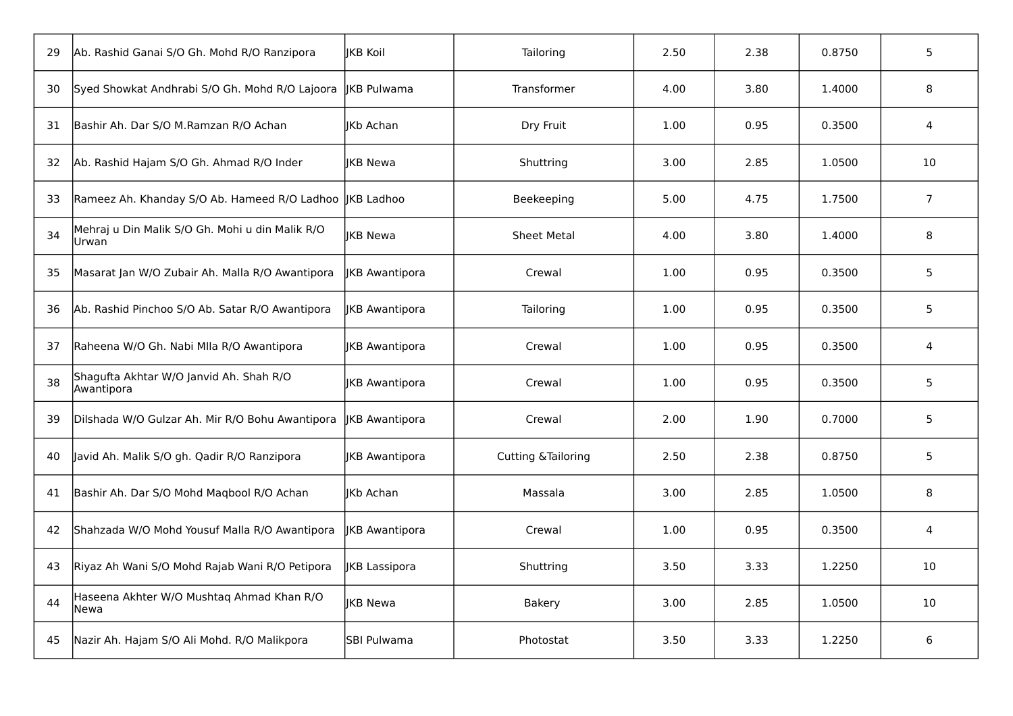| 29 | Ab. Rashid Ganai S/O Gh. Mohd R/O Ranzipora              | liKB Koil          | Tailoring           | 2.50 | 2.38 | 0.8750 | 5              |
|----|----------------------------------------------------------|--------------------|---------------------|------|------|--------|----------------|
| 30 | Syed Showkat Andhrabi S/O Gh. Mohd R/O Lajoora           | JKB Pulwama        | Transformer         | 4.00 | 3.80 | 1.4000 | 8              |
| 31 | Bashir Ah. Dar S/O M.Ramzan R/O Achan                    | <b>IKb Achan</b>   | Dry Fruit           | 1.00 | 0.95 | 0.3500 | 4              |
| 32 | Ab. Rashid Hajam S/O Gh. Ahmad R/O Inder                 | <b>IKB Newa</b>    | Shuttring           | 3.00 | 2.85 | 1.0500 | 10             |
| 33 | Rameez Ah. Khanday S/O Ab. Hameed R/O Ladhoo JKB Ladhoo  |                    | Beekeeping          | 5.00 | 4.75 | 1.7500 | $\overline{7}$ |
| 34 | Mehraj u Din Malik S/O Gh. Mohi u din Malik R/O<br>Urwan | lIKB Newa          | <b>Sheet Metal</b>  | 4.00 | 3.80 | 1.4000 | 8              |
| 35 | Masarat Jan W/O Zubair Ah. Malla R/O Awantipora          | JKB Awantipora     | Crewal              | 1.00 | 0.95 | 0.3500 | 5              |
| 36 | Ab. Rashid Pinchoo S/O Ab. Satar R/O Awantipora          | JKB Awantipora     | Tailoring           | 1.00 | 0.95 | 0.3500 | 5              |
| 37 | Raheena W/O Gh. Nabi Mlla R/O Awantipora                 | JKB Awantipora     | Crewal              | 1.00 | 0.95 | 0.3500 | 4              |
| 38 | Shagufta Akhtar W/O Janvid Ah. Shah R/O<br>Awantipora    | JKB Awantipora     | Crewal              | 1.00 | 0.95 | 0.3500 | 5              |
| 39 | Dilshada W/O Gulzar Ah. Mir R/O Bohu Awantipora          | JKB Awantipora     | Crewal              | 2.00 | 1.90 | 0.7000 | 5              |
| 40 | Javid Ah. Malik S/O gh. Qadir R/O Ranzipora              | JKB Awantipora     | Cutting & Tailoring | 2.50 | 2.38 | 0.8750 | 5              |
| 41 | Bashir Ah. Dar S/O Mohd Maqbool R/O Achan                | JKb Achan          | Massala             | 3.00 | 2.85 | 1.0500 | 8              |
| 42 | Shahzada W/O Mohd Yousuf Malla R/O Awantipora            | JKB Awantipora     | Crewal              | 1.00 | 0.95 | 0.3500 | 4              |
| 43 | Riyaz Ah Wani S/O Mohd Rajab Wani R/O Petipora           | JKB Lassipora      | Shuttring           | 3.50 | 3.33 | 1.2250 | 10             |
| 44 | Haseena Akhter W/O Mushtaq Ahmad Khan R/O<br> Newa       | JKB Newa           | <b>Bakery</b>       | 3.00 | 2.85 | 1.0500 | 10             |
| 45 | Nazir Ah. Hajam S/O Ali Mohd. R/O Malikpora              | <b>SBI Pulwama</b> | Photostat           | 3.50 | 3.33 | 1.2250 | 6              |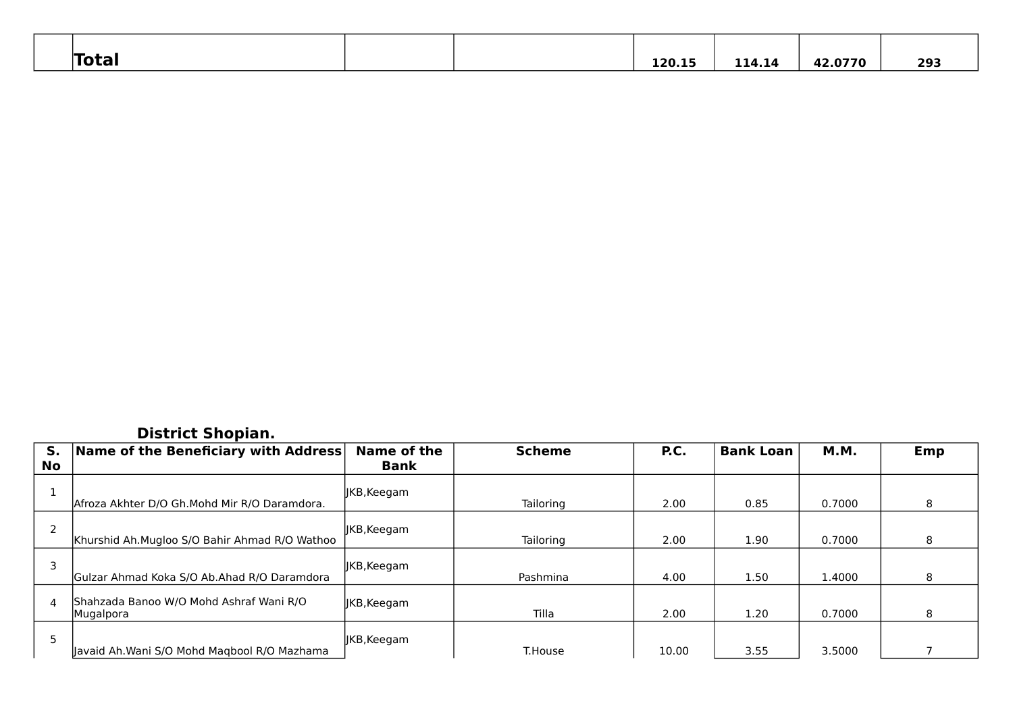| <b>Total</b> |  | 120.15 | 114.14 | 12.0770<br>42 | 293 |
|--------------|--|--------|--------|---------------|-----|

#### **District Shopian.**

| S.<br><b>No</b> | Name of the Beneficiary with Address                 | Name of the<br>Bank | <b>Scheme</b>    | P.C.  | <b>Bank Loan</b> | <b>M.M.</b> | Emp |
|-----------------|------------------------------------------------------|---------------------|------------------|-------|------------------|-------------|-----|
|                 |                                                      |                     |                  |       |                  |             |     |
|                 | Afroza Akhter D/O Gh. Mohd Mir R/O Daramdora.        | JKB, Keegam         | Tailoring        | 2.00  | 0.85             | 0.7000      | 8   |
|                 | Khurshid Ah.Mugloo S/O Bahir Ahmad R/O Wathoo        | IKB, Keegam         | <b>Tailoring</b> | 2.00  | 1.90             | 0.7000      | 8   |
|                 | Gulzar Ahmad Koka S/O Ab.Ahad R/O Daramdora          | JKB, Keegam         | Pashmina         | 4.00  | 1.50             | 1.4000      | 8   |
| 4               | Shahzada Banoo W/O Mohd Ashraf Wani R/O<br>Mugalpora | JKB, Keegam         | Tilla            | 2.00  | 1.20             | 0.7000      | 8   |
| 5               | Javaid Ah.Wani S/O Mohd Magbool R/O Mazhama          | JKB, Keegam         | T.House          | 10.00 | 3.55             | 3.5000      |     |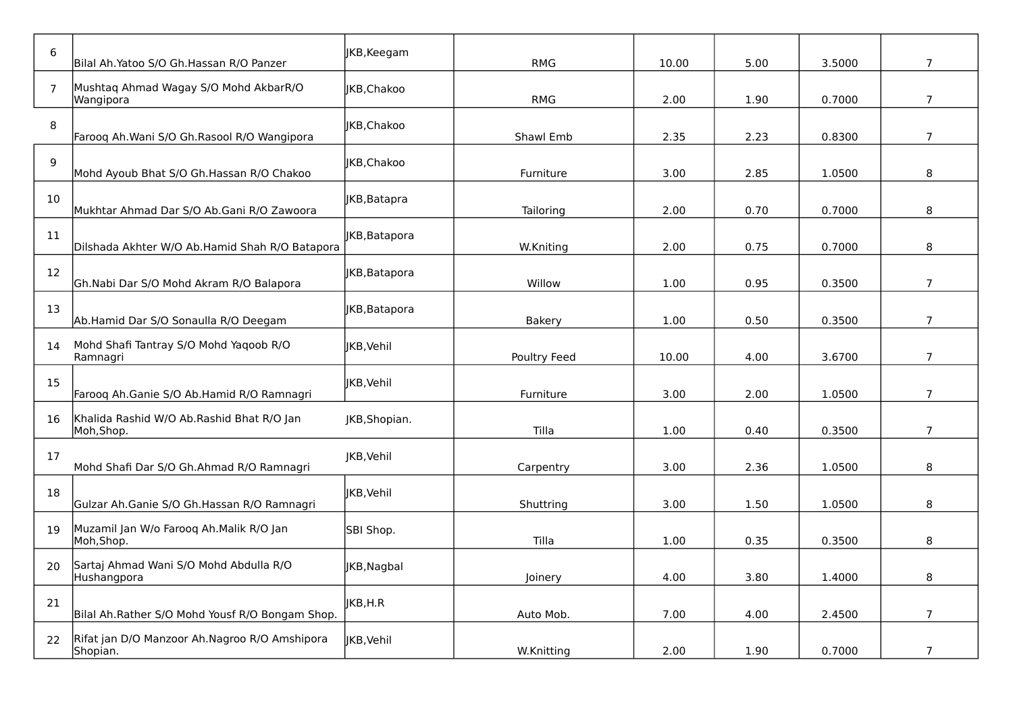| 6              | Bilal Ah. Yatoo S/O Gh. Hassan R/O Panzer                 | JKB, Keegam       | <b>RMG</b>    | 10.00 | 5.00 | 3.5000 | $\overline{7}$ |
|----------------|-----------------------------------------------------------|-------------------|---------------|-------|------|--------|----------------|
| $\overline{7}$ | Mushtaq Ahmad Wagay S/O Mohd AkbarR/O<br>Wangipora        | IKB.Chakoo        | RMG           | 2.00  | 1.90 | 0.7000 | $\overline{7}$ |
| 8              | Farooq Ah.Wani S/O Gh.Rasool R/O Wangipora                | JKB, Chakoo       | Shawl Emb     | 2.35  | 2.23 | 0.8300 | $\overline{7}$ |
| $9$            | Mohd Ayoub Bhat S/O Gh.Hassan R/O Chakoo                  | IKB, Chakoo       | Furniture     | 3.00  | 2.85 | 1.0500 | 8              |
| 10             | Mukhtar Ahmad Dar S/O Ab.Gani R/O Zawoora                 | JKB, Batapra      | Tailoring     | 2.00  | 0.70 | 0.7000 | 8              |
| 11             | Dilshada Akhter W/O Ab.Hamid Shah R/O Batapora            | JKB, Batapora     | W.Kniting     | 2.00  | 0.75 | 0.7000 | 8              |
| 12             | Gh.Nabi Dar S/O Mohd Akram R/O Balapora                   | JKB, Batapora     | Willow        | 1.00  | 0.95 | 0.3500 | $\overline{7}$ |
| 13             | Ab.Hamid Dar S/O Sonaulla R/O Deegam                      | JKB, Batapora     | <b>Bakery</b> | 1.00  | 0.50 | 0.3500 | $\overline{7}$ |
| 14             | Mohd Shafi Tantray S/O Mohd Yaqoob R/O<br>Ramnagri        | <b>IKB, Vehil</b> | Poultry Feed  | 10.00 | 4.00 | 3.6700 | $\overline{7}$ |
| 15             | Farooq Ah.Ganie S/O Ab.Hamid R/O Ramnagri                 | JKB, Vehil        | Furniture     | 3.00  | 2.00 | 1.0500 | $\overline{7}$ |
| 16             | Khalida Rashid W/O Ab.Rashid Bhat R/O Jan<br>Moh,Shop.    | JKB, Shopian.     | Tilla         | 1.00  | 0.40 | 0.3500 | $\overline{7}$ |
| 17             | Mohd Shafi Dar S/O Gh.Ahmad R/O Ramnagri                  | JKB, Vehil        | Carpentry     | 3.00  | 2.36 | 1.0500 | 8              |
| 18             | Gulzar Ah.Ganie S/O Gh.Hassan R/O Ramnagri                | JKB, Vehil        | Shuttring     | 3.00  | 1.50 | 1.0500 | 8              |
| 19             | Muzamil Jan W/o Farooq Ah.Malik R/O Jan<br>Moh, Shop.     | SBI Shop.         | Tilla         | 1.00  | 0.35 | 0.3500 | 8              |
| 20             | Sartaj Ahmad Wani S/O Mohd Abdulla R/O<br>Hushangpora     | JKB, Nagbal       | Joinery       | 4.00  | 3.80 | 1.4000 | 8              |
| 21             | Bilal Ah.Rather S/O Mohd Yousf R/O Bongam Shop.           | JKB,H.R           | Auto Mob.     | 7.00  | 4.00 | 2.4500 | $\overline{7}$ |
| 22             | Rifat jan D/O Manzoor Ah.Nagroo R/O Amshipora<br>Shopian. | JKB, Vehil        | W.Knitting    | 2.00  | 1.90 | 0.7000 | $\overline{7}$ |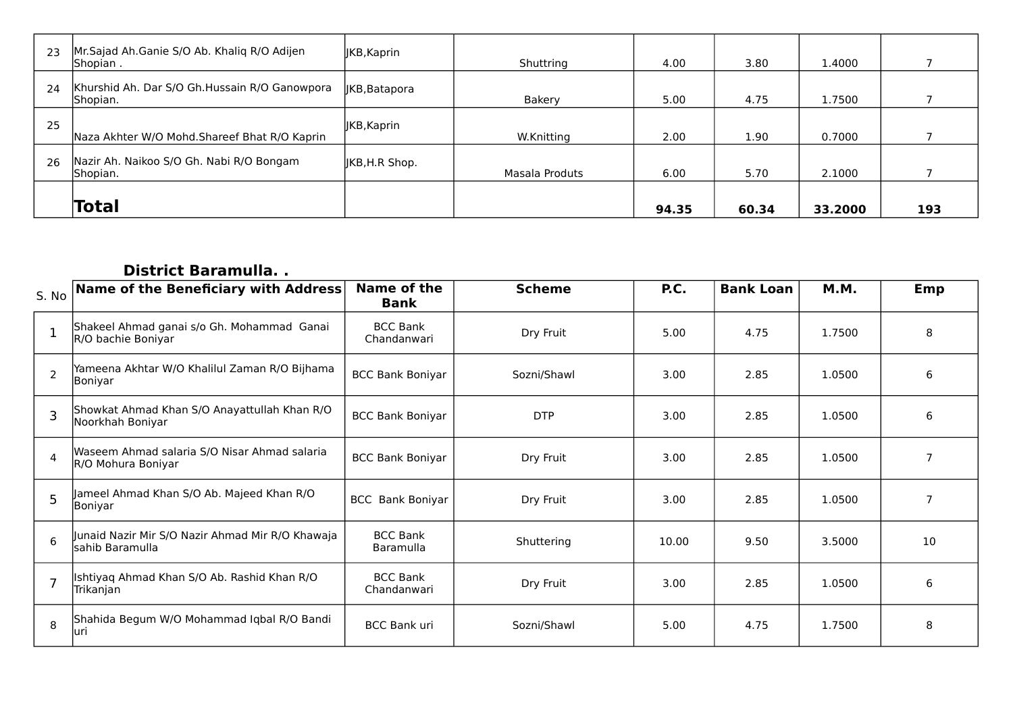| 23 | Mr. Sajad Ah. Ganie S/O Ab. Khaliq R/O Adijen<br>Shopian. | JKB, Kaprin    | Shuttring      | 4.00  | 3.80  | 1.4000  |     |
|----|-----------------------------------------------------------|----------------|----------------|-------|-------|---------|-----|
| 24 | Khurshid Ah. Dar S/O Gh.Hussain R/O Ganowpora<br>Shopian. | JKB, Batapora  | <b>Bakery</b>  | 5.00  | 4.75  | 1.7500  |     |
| 25 | Naza Akhter W/O Mohd. Shareef Bhat R/O Kaprin             | JKB, Kaprin    | W.Knitting     | 2.00  | 1.90  | 0.7000  |     |
| 26 | Nazir Ah. Naikoo S/O Gh. Nabi R/O Bongam<br>Shopian.      | JKB, H.R Shop. | Masala Produts | 6.00  | 5.70  | 2.1000  |     |
|    | Total                                                     |                |                | 94.35 | 60.34 | 33.2000 | 193 |

### **District Baramulla. .**

| S. No          | Name of the Beneficiary with Address                                | Name of the<br>Bank            | <b>Scheme</b> | P.C.  | <b>Bank Loan</b> | <b>M.M.</b> | Emp            |
|----------------|---------------------------------------------------------------------|--------------------------------|---------------|-------|------------------|-------------|----------------|
|                | Shakeel Ahmad ganai s/o Gh. Mohammad Ganai<br>R/O bachie Boniyar    | <b>BCC Bank</b><br>Chandanwari | Dry Fruit     | 5.00  | 4.75             | 1.7500      | 8              |
| $\overline{2}$ | Yameena Akhtar W/O Khalilul Zaman R/O Bijhama<br>Boniyar            | <b>BCC Bank Boniyar</b>        | Sozni/Shawl   | 3.00  | 2.85             | 1.0500      | 6              |
| 3              | Showkat Ahmad Khan S/O Anayattullah Khan R/O<br>Noorkhah Boniyar    | <b>BCC Bank Boniyar</b>        | <b>DTP</b>    | 3.00  | 2.85             | 1.0500      | 6              |
| $\overline{4}$ | Waseem Ahmad salaria S/O Nisar Ahmad salaria<br>R/O Mohura Boniyar  | <b>BCC Bank Boniyar</b>        | Dry Fruit     | 3.00  | 2.85             | 1.0500      | $\overline{7}$ |
| 5              | Jameel Ahmad Khan S/O Ab. Majeed Khan R/O<br> Boniyar               | <b>BCC</b> Bank Boniyar        | Dry Fruit     | 3.00  | 2.85             | 1.0500      | $\overline{7}$ |
| 6              | Junaid Nazir Mir S/O Nazir Ahmad Mir R/O Khawaja<br>sahib Baramulla | <b>BCC Bank</b><br>Baramulla   | Shuttering    | 10.00 | 9.50             | 3.5000      | 10             |
|                | Ishtiyaq Ahmad Khan S/O Ab. Rashid Khan R/O<br>Trikanjan            | <b>BCC Bank</b><br>Chandanwari | Dry Fruit     | 3.00  | 2.85             | 1.0500      | 6              |
| 8              | Shahida Begum W/O Mohammad Iqbal R/O Bandi<br>luri                  | <b>BCC Bank uri</b>            | Sozni/Shawl   | 5.00  | 4.75             | 1.7500      | 8              |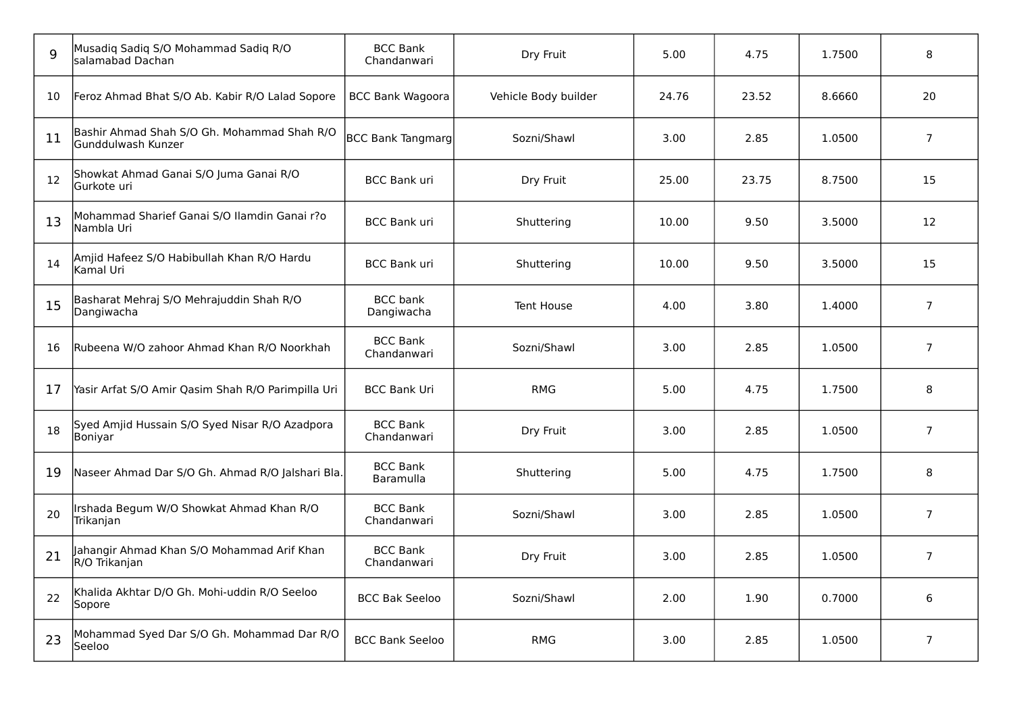| q  | Musadiq Sadiq S/O Mohammad Sadiq R/O<br>salamabad Dachan          | <b>BCC Bank</b><br>Chandanwari | Dry Fruit            | 5.00  | 4.75  | 1.7500 | 8              |
|----|-------------------------------------------------------------------|--------------------------------|----------------------|-------|-------|--------|----------------|
| 10 | Feroz Ahmad Bhat S/O Ab. Kabir R/O Lalad Sopore                   | <b>BCC Bank Wagoora</b>        | Vehicle Body builder | 24.76 | 23.52 | 8.6660 | 20             |
| 11 | Bashir Ahmad Shah S/O Gh. Mohammad Shah R/O<br>Gunddulwash Kunzer | <b>BCC Bank Tangmarg</b>       | Sozni/Shawl          | 3.00  | 2.85  | 1.0500 | $\overline{7}$ |
| 12 | Showkat Ahmad Ganai S/O Juma Ganai R/O<br>Gurkote uri             | <b>BCC Bank uri</b>            | Dry Fruit            | 25.00 | 23.75 | 8.7500 | 15             |
| 13 | Mohammad Sharief Ganai S/O Ilamdin Ganai r?o<br>Nambla Uri        | <b>BCC Bank uri</b>            | Shuttering           | 10.00 | 9.50  | 3.5000 | 12             |
| 14 | Amjid Hafeez S/O Habibullah Khan R/O Hardu<br>Kamal Uri           | <b>BCC Bank uri</b>            | Shuttering           | 10.00 | 9.50  | 3.5000 | 15             |
| 15 | Basharat Mehraj S/O Mehrajuddin Shah R/O<br>Dangiwacha            | <b>BCC</b> bank<br>Dangiwacha  | <b>Tent House</b>    | 4.00  | 3.80  | 1.4000 | $\overline{7}$ |
| 16 | Rubeena W/O zahoor Ahmad Khan R/O Noorkhah                        | <b>BCC Bank</b><br>Chandanwari | Sozni/Shawl          | 3.00  | 2.85  | 1.0500 | $\overline{7}$ |
| 17 | Yasir Arfat S/O Amir Qasim Shah R/O Parimpilla Uri                | <b>BCC Bank Uri</b>            | <b>RMG</b>           | 5.00  | 4.75  | 1.7500 | 8              |
| 18 | Syed Amjid Hussain S/O Syed Nisar R/O Azadpora<br>Boniyar         | <b>BCC Bank</b><br>Chandanwari | Dry Fruit            | 3.00  | 2.85  | 1.0500 | $\overline{7}$ |
| 19 | Naseer Ahmad Dar S/O Gh. Ahmad R/O Jalshari Bla.                  | <b>BCC Bank</b><br>Baramulla   | Shuttering           | 5.00  | 4.75  | 1.7500 | 8              |
| 20 | Irshada Begum W/O Showkat Ahmad Khan R/O<br>Trikanjan             | <b>BCC Bank</b><br>Chandanwari | Sozni/Shawl          | 3.00  | 2.85  | 1.0500 | $\overline{7}$ |
| 21 | Jahangir Ahmad Khan S/O Mohammad Arif Khan<br>R/O Trikanjan       | <b>BCC Bank</b><br>Chandanwari | Dry Fruit            | 3.00  | 2.85  | 1.0500 | $\overline{7}$ |
| 22 | Khalida Akhtar D/O Gh. Mohi-uddin R/O Seeloo<br>Sopore            | <b>BCC Bak Seeloo</b>          | Sozni/Shawl          | 2.00  | 1.90  | 0.7000 | 6              |
| 23 | Mohammad Syed Dar S/O Gh. Mohammad Dar R/O<br>Seeloo              | <b>BCC Bank Seeloo</b>         | <b>RMG</b>           | 3.00  | 2.85  | 1.0500 | $\overline{7}$ |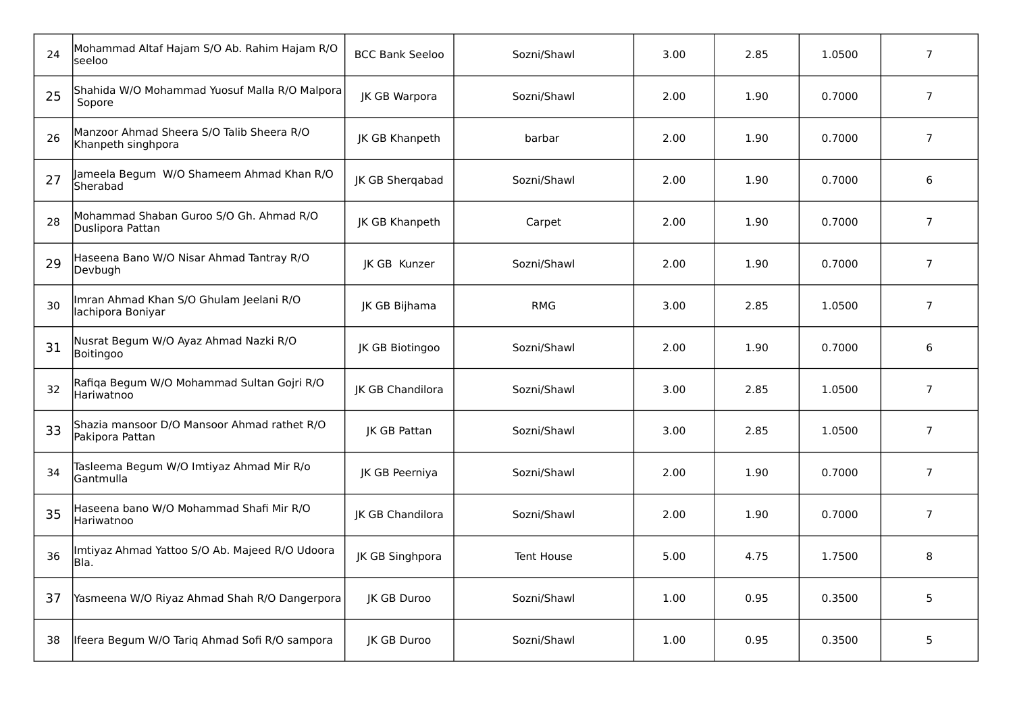| 24 | Mohammad Altaf Hajam S/O Ab. Rahim Hajam R/O<br>lseeloo         | <b>BCC Bank Seeloo</b> | Sozni/Shawl | 3.00 | 2.85 | 1.0500 | $\overline{7}$ |
|----|-----------------------------------------------------------------|------------------------|-------------|------|------|--------|----------------|
| 25 | Shahida W/O Mohammad Yuosuf Malla R/O Malpora<br>Sopore         | <b>JK GB Warpora</b>   | Sozni/Shawl | 2.00 | 1.90 | 0.7000 | $\overline{7}$ |
| 26 | Manzoor Ahmad Sheera S/O Talib Sheera R/O<br>Khanpeth singhpora | JK GB Khanpeth         | barbar      | 2.00 | 1.90 | 0.7000 | $\overline{7}$ |
| 27 | Jameela Begum W/O Shameem Ahmad Khan R/O<br>Sherabad            | JK GB Sherqabad        | Sozni/Shawl | 2.00 | 1.90 | 0.7000 | 6              |
| 28 | Mohammad Shaban Guroo S/O Gh. Ahmad R/O<br>Duslipora Pattan     | JK GB Khanpeth         | Carpet      | 2.00 | 1.90 | 0.7000 | $\overline{7}$ |
| 29 | Haseena Bano W/O Nisar Ahmad Tantray R/O<br>Devbugh             | <b>IK GB Kunzer</b>    | Sozni/Shawl | 2.00 | 1.90 | 0.7000 | $\overline{7}$ |
| 30 | Imran Ahmad Khan S/O Ghulam Jeelani R/O<br>lachipora Boniyar    | JK GB Bijhama          | <b>RMG</b>  | 3.00 | 2.85 | 1.0500 | $\overline{7}$ |
| 31 | Nusrat Begum W/O Ayaz Ahmad Nazki R/O<br>Boitingoo              | JK GB Biotingoo        | Sozni/Shawl | 2.00 | 1.90 | 0.7000 | 6              |
| 32 | Rafiqa Begum W/O Mohammad Sultan Gojri R/O<br>Hariwatnoo        | JK GB Chandilora       | Sozni/Shawl | 3.00 | 2.85 | 1.0500 | $\overline{7}$ |
| 33 | Shazia mansoor D/O Mansoor Ahmad rathet R/O<br>Pakipora Pattan  | JK GB Pattan           | Sozni/Shawl | 3.00 | 2.85 | 1.0500 | $\overline{7}$ |
| 34 | Tasleema Begum W/O Imtiyaz Ahmad Mir R/o<br>Gantmulla           | JK GB Peerniya         | Sozni/Shawl | 2.00 | 1.90 | 0.7000 | $\overline{7}$ |
| 35 | Haseena bano W/O Mohammad Shafi Mir R/O<br>Hariwatnoo           | JK GB Chandilora       | Sozni/Shawl | 2.00 | 1.90 | 0.7000 | $\overline{7}$ |
| 36 | Imtiyaz Ahmad Yattoo S/O Ab. Majeed R/O Udoora<br>IBIa.         | JK GB Singhpora        | Tent House  | 5.00 | 4.75 | 1.7500 | 8              |
| 37 | Yasmeena W/O Riyaz Ahmad Shah R/O Dangerpora                    | JK GB Duroo            | Sozni/Shawl | 1.00 | 0.95 | 0.3500 | 5              |
| 38 | Ifeera Begum W/O Tariq Ahmad Sofi R/O sampora                   | JK GB Duroo            | Sozni/Shawl | 1.00 | 0.95 | 0.3500 | 5              |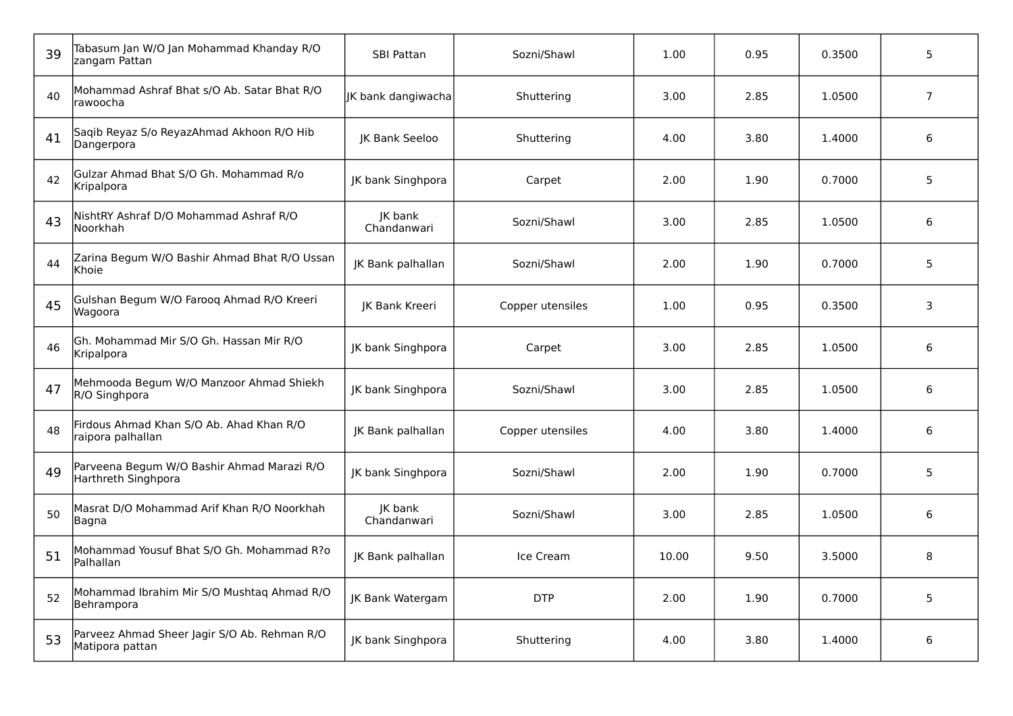| 39 | Tabasum Jan W/O Jan Mohammad Khanday R/O<br>zangam Pattan         | <b>SBI Pattan</b>      | Sozni/Shawl      | 1.00  | 0.95 | 0.3500 | 5              |
|----|-------------------------------------------------------------------|------------------------|------------------|-------|------|--------|----------------|
| 40 | Mohammad Ashraf Bhat s/O Ab. Satar Bhat R/O<br>rawoocha           | JK bank dangiwacha     | Shuttering       | 3.00  | 2.85 | 1.0500 | $\overline{7}$ |
| 41 | Saqib Reyaz S/o ReyazAhmad Akhoon R/O Hib<br>Dangerpora           | JK Bank Seeloo         | Shuttering       | 4.00  | 3.80 | 1.4000 | 6              |
| 42 | Gulzar Ahmad Bhat S/O Gh. Mohammad R/o<br>Kripalpora              | JK bank Singhpora      | Carpet           | 2.00  | 1.90 | 0.7000 | 5              |
| 43 | NishtRY Ashraf D/O Mohammad Ashraf R/O<br>Noorkhah                | JK bank<br>Chandanwari | Sozni/Shawl      | 3.00  | 2.85 | 1.0500 | 6              |
| 44 | Zarina Begum W/O Bashir Ahmad Bhat R/O Ussan<br>Khoie             | JK Bank palhallan      | Sozni/Shawl      | 2.00  | 1.90 | 0.7000 | 5              |
| 45 | Gulshan Begum W/O Faroog Ahmad R/O Kreeri<br>Wagoora              | JK Bank Kreeri         | Copper utensiles | 1.00  | 0.95 | 0.3500 | 3              |
| 46 | Gh. Mohammad Mir S/O Gh. Hassan Mir R/O<br>Kripalpora             | JK bank Singhpora      | Carpet           | 3.00  | 2.85 | 1.0500 | 6              |
| 47 | Mehmooda Begum W/O Manzoor Ahmad Shiekh<br>R/O Singhpora          | JK bank Singhpora      | Sozni/Shawl      | 3.00  | 2.85 | 1.0500 | 6              |
| 48 | Firdous Ahmad Khan S/O Ab. Ahad Khan R/O<br>raipora palhallan     | JK Bank palhallan      | Copper utensiles | 4.00  | 3.80 | 1.4000 | 6              |
| 49 | Parveena Begum W/O Bashir Ahmad Marazi R/O<br>Harthreth Singhpora | JK bank Singhpora      | Sozni/Shawl      | 2.00  | 1.90 | 0.7000 | 5              |
| 50 | Masrat D/O Mohammad Arif Khan R/O Noorkhah<br>Bagna               | JK bank<br>Chandanwari | Sozni/Shawl      | 3.00  | 2.85 | 1.0500 | 6              |
| 51 | Mohammad Yousuf Bhat S/O Gh. Mohammad R?o<br>Palhallan            | JK Bank palhallan      | Ice Cream        | 10.00 | 9.50 | 3.5000 | 8              |
| 52 | Mohammad Ibrahim Mir S/O Mushtaq Ahmad R/O<br>Behrampora          | JK Bank Watergam       | <b>DTP</b>       | 2.00  | 1.90 | 0.7000 | 5              |
| 53 | Parveez Ahmad Sheer Jagir S/O Ab. Rehman R/O<br>Matipora pattan   | JK bank Singhpora      | Shuttering       | 4.00  | 3.80 | 1.4000 | 6              |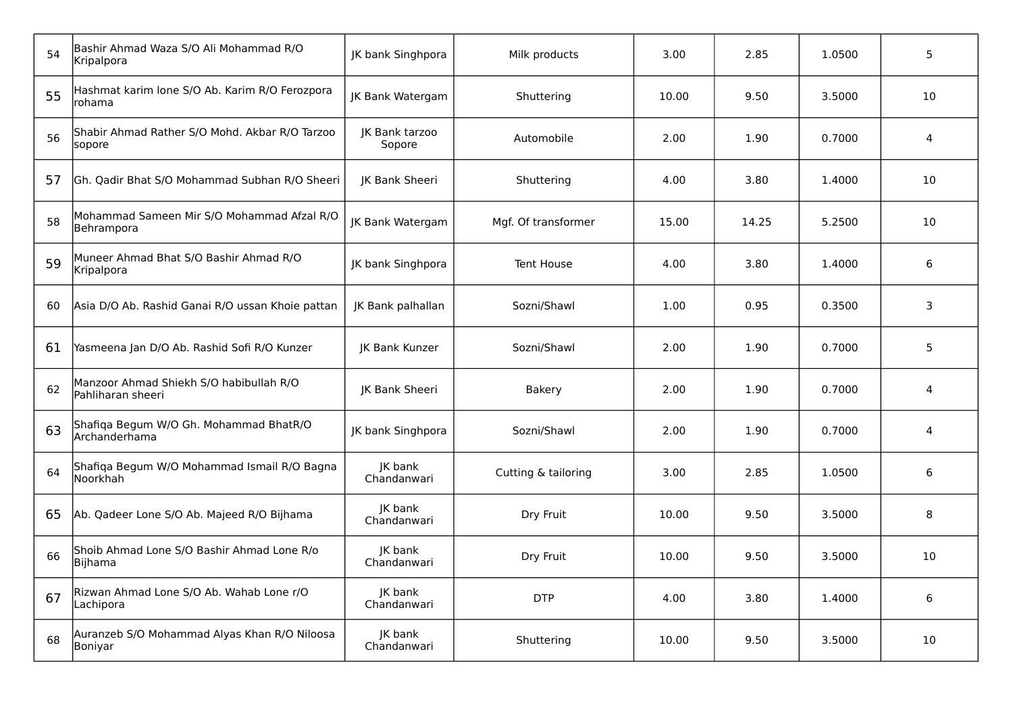| 54 | Bashir Ahmad Waza S/O Ali Mohammad R/O<br>Kripalpora         | JK bank Singhpora        | Milk products       | 3.00  | 2.85  | 1.0500 | 5  |
|----|--------------------------------------------------------------|--------------------------|---------------------|-------|-------|--------|----|
| 55 | Hashmat karim lone S/O Ab. Karim R/O Ferozpora<br>rohama     | <b>IK Bank Watergam</b>  | Shuttering          | 10.00 | 9.50  | 3.5000 | 10 |
| 56 | Shabir Ahmad Rather S/O Mohd. Akbar R/O Tarzoo<br>sopore     | JK Bank tarzoo<br>Sopore | Automobile          | 2.00  | 1.90  | 0.7000 | 4  |
| 57 | Gh. Qadir Bhat S/O Mohammad Subhan R/O Sheeri                | JK Bank Sheeri           | Shuttering          | 4.00  | 3.80  | 1.4000 | 10 |
| 58 | Mohammad Sameen Mir S/O Mohammad Afzal R/O<br>Behrampora     | JK Bank Watergam         | Mgf. Of transformer | 15.00 | 14.25 | 5.2500 | 10 |
| 59 | Muneer Ahmad Bhat S/O Bashir Ahmad R/O<br>Kripalpora         | JK bank Singhpora        | <b>Tent House</b>   | 4.00  | 3.80  | 1.4000 | 6  |
| 60 | Asia D/O Ab. Rashid Ganai R/O ussan Khoie pattan             | JK Bank palhallan        | Sozni/Shawl         | 1.00  | 0.95  | 0.3500 | 3  |
| 61 | Yasmeena Jan D/O Ab. Rashid Sofi R/O Kunzer                  | JK Bank Kunzer           | Sozni/Shawl         | 2.00  | 1.90  | 0.7000 | 5  |
| 62 | Manzoor Ahmad Shiekh S/O habibullah R/O<br>Pahliharan sheeri | JK Bank Sheeri           | <b>Bakery</b>       | 2.00  | 1.90  | 0.7000 | 4  |
| 63 | Shafiqa Begum W/O Gh. Mohammad BhatR/O<br>Archanderhama      | JK bank Singhpora        | Sozni/Shawl         | 2.00  | 1.90  | 0.7000 | 4  |
| 64 | Shafiqa Begum W/O Mohammad Ismail R/O Bagna<br>Noorkhah      | JK bank<br>Chandanwari   | Cutting & tailoring | 3.00  | 2.85  | 1.0500 | 6  |
| 65 | Ab. Qadeer Lone S/O Ab. Majeed R/O Bijhama                   | JK bank<br>Chandanwari   | Dry Fruit           | 10.00 | 9.50  | 3.5000 | 8  |
| 66 | Shoib Ahmad Lone S/O Bashir Ahmad Lone R/o<br>Bijhama        | JK bank<br>Chandanwari   | Dry Fruit           | 10.00 | 9.50  | 3.5000 | 10 |
| 67 | Rizwan Ahmad Lone S/O Ab. Wahab Lone r/O<br>Lachipora        | JK bank<br>Chandanwari   | <b>DTP</b>          | 4.00  | 3.80  | 1.4000 | 6  |
| 68 | Auranzeb S/O Mohammad Alyas Khan R/O Niloosa<br>Boniyar      | JK bank<br>Chandanwari   | Shuttering          | 10.00 | 9.50  | 3.5000 | 10 |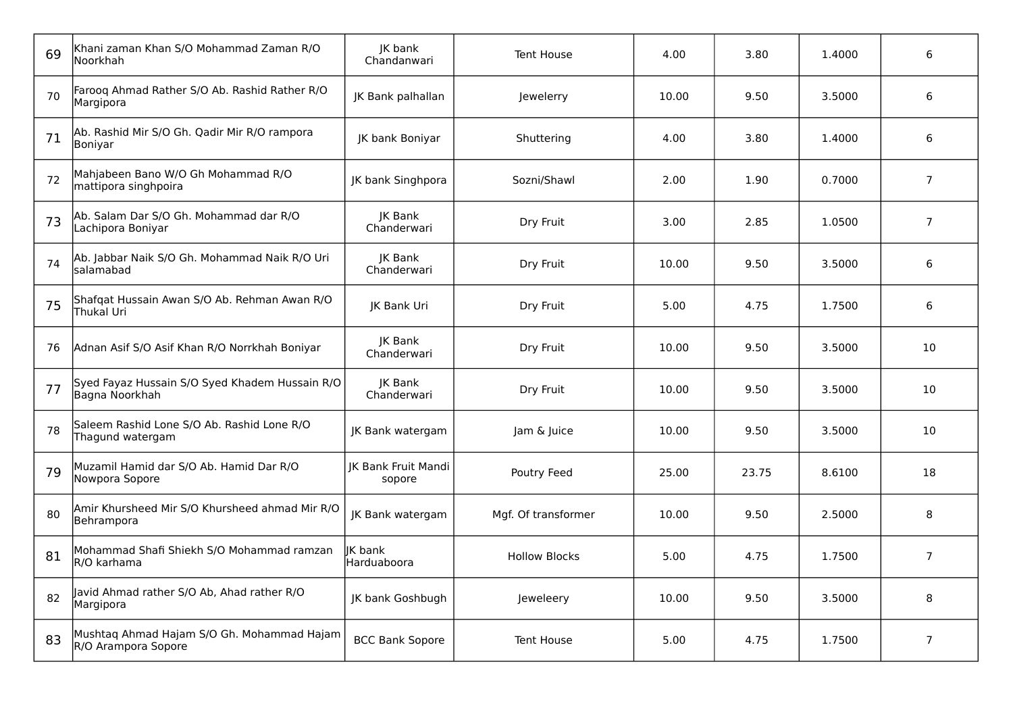| 69 | Khani zaman Khan S/O Mohammad Zaman R/O<br>lNoorkhah              | JK bank<br>Chandanwari               | <b>Tent House</b>    | 4.00  | 3.80  | 1.4000 | 6              |
|----|-------------------------------------------------------------------|--------------------------------------|----------------------|-------|-------|--------|----------------|
| 70 | Farooq Ahmad Rather S/O Ab. Rashid Rather R/O<br>Margipora        | JK Bank palhallan                    | Jewelerry            | 10.00 | 9.50  | 3.5000 | 6              |
| 71 | Ab. Rashid Mir S/O Gh. Qadir Mir R/O rampora<br> Boniyar          | <b>IK bank Boniyar</b>               | Shuttering           | 4.00  | 3.80  | 1.4000 | 6              |
| 72 | Mahjabeen Bano W/O Gh Mohammad R/O<br>mattipora singhpoira        | JK bank Singhpora                    | Sozni/Shawl          | 2.00  | 1.90  | 0.7000 | $\overline{7}$ |
| 73 | Ab. Salam Dar S/O Gh. Mohammad dar R/O<br>Lachipora Boniyar       | JK Bank<br>Chanderwari               | Dry Fruit            | 3.00  | 2.85  | 1.0500 | $\overline{7}$ |
| 74 | Ab. Jabbar Naik S/O Gh. Mohammad Naik R/O Uri<br>salamabad        | JK Bank<br>Chanderwari               | Dry Fruit            | 10.00 | 9.50  | 3.5000 | 6              |
| 75 | Shafqat Hussain Awan S/O Ab. Rehman Awan R/O<br>Thukal Uri        | <b>IK Bank Uri</b>                   | Dry Fruit            | 5.00  | 4.75  | 1.7500 | 6              |
| 76 | Adnan Asif S/O Asif Khan R/O Norrkhah Boniyar                     | <b>IK Bank</b><br>Chanderwari        | Dry Fruit            | 10.00 | 9.50  | 3.5000 | 10             |
| 77 | Syed Fayaz Hussain S/O Syed Khadem Hussain R/O<br>Bagna Noorkhah  | <b>IK Bank</b><br>Chanderwari        | Dry Fruit            | 10.00 | 9.50  | 3.5000 | 10             |
| 78 | Saleem Rashid Lone S/O Ab. Rashid Lone R/O<br>Thagund watergam    | JK Bank watergam                     | Jam & Juice          | 10.00 | 9.50  | 3.5000 | 10             |
| 79 | Muzamil Hamid dar S/O Ab. Hamid Dar R/O<br>Nowpora Sopore         | <b>IK Bank Fruit Mandi</b><br>sopore | Poutry Feed          | 25.00 | 23.75 | 8.6100 | 18             |
| 80 | Amir Khursheed Mir S/O Khursheed ahmad Mir R/O<br>Behrampora      | JK Bank watergam                     | Mgf. Of transformer  | 10.00 | 9.50  | 2.5000 | 8              |
| 81 | Mohammad Shafi Shiekh S/O Mohammad ramzan<br>R/O karhama          | lK bank<br>Harduaboora               | <b>Hollow Blocks</b> | 5.00  | 4.75  | 1.7500 | $\overline{7}$ |
| 82 | Javid Ahmad rather S/O Ab, Ahad rather R/O<br>Margipora           | JK bank Goshbugh                     | Jeweleery            | 10.00 | 9.50  | 3.5000 | 8              |
| 83 | Mushtaq Ahmad Hajam S/O Gh. Mohammad Hajam<br>R/O Arampora Sopore | <b>BCC Bank Sopore</b>               | <b>Tent House</b>    | 5.00  | 4.75  | 1.7500 | $\overline{7}$ |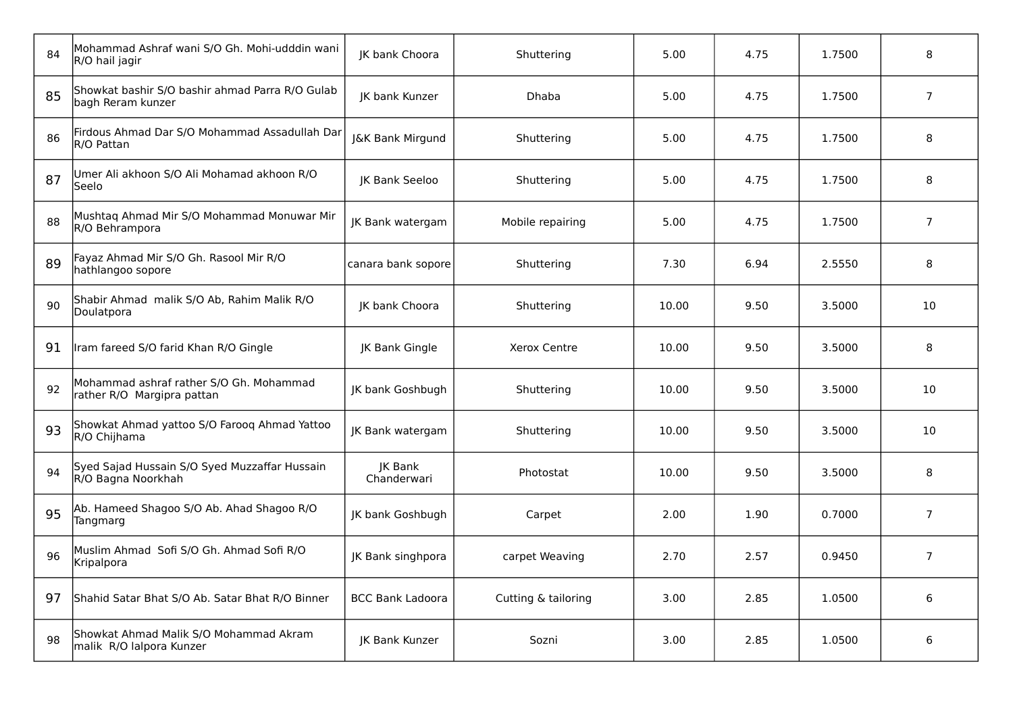| 84 | Mohammad Ashraf wani S/O Gh. Mohi-udddin wani<br>R/O hail jagir       | JK bank Choora                | Shuttering          | 5.00  | 4.75 | 1.7500 | 8              |
|----|-----------------------------------------------------------------------|-------------------------------|---------------------|-------|------|--------|----------------|
| 85 | Showkat bashir S/O bashir ahmad Parra R/O Gulab<br>bagh Reram kunzer  | JK bank Kunzer                | <b>Dhaba</b>        | 5.00  | 4.75 | 1.7500 | $\overline{7}$ |
| 86 | Firdous Ahmad Dar S/O Mohammad Assadullah Dar<br>R/O Pattan           | J&K Bank Mirgund              | Shuttering          | 5.00  | 4.75 | 1.7500 | 8              |
| 87 | Umer Ali akhoon S/O Ali Mohamad akhoon R/O<br>Seelo                   | JK Bank Seeloo                | Shuttering          | 5.00  | 4.75 | 1.7500 | 8              |
| 88 | Mushtaq Ahmad Mir S/O Mohammad Monuwar Mir<br>R/O Behrampora          | JK Bank watergam              | Mobile repairing    | 5.00  | 4.75 | 1.7500 | $\overline{7}$ |
| 89 | Fayaz Ahmad Mir S/O Gh. Rasool Mir R/O<br>hathlangoo sopore           | canara bank sopore            | Shuttering          | 7.30  | 6.94 | 2.5550 | 8              |
| 90 | Shabir Ahmad malik S/O Ab, Rahim Malik R/O<br>Doulatpora              | JK bank Choora                | Shuttering          | 10.00 | 9.50 | 3.5000 | 10             |
| 91 | Iram fareed S/O farid Khan R/O Gingle                                 | JK Bank Gingle                | Xerox Centre        | 10.00 | 9.50 | 3.5000 | 8              |
| 92 | Mohammad ashraf rather S/O Gh. Mohammad<br>rather R/O Margipra pattan | JK bank Goshbugh              | Shuttering          | 10.00 | 9.50 | 3.5000 | 10             |
| 93 | Showkat Ahmad yattoo S/O Farooq Ahmad Yattoo<br>R/O Chijhama          | <b>IK Bank watergam</b>       | Shuttering          | 10.00 | 9.50 | 3.5000 | 10             |
| 94 | Syed Sajad Hussain S/O Syed Muzzaffar Hussain<br>R/O Bagna Noorkhah   | <b>IK Bank</b><br>Chanderwari | Photostat           | 10.00 | 9.50 | 3.5000 | 8              |
| 95 | Ab. Hameed Shagoo S/O Ab. Ahad Shagoo R/O<br>Tangmarg                 | JK bank Goshbugh              | Carpet              | 2.00  | 1.90 | 0.7000 | $\overline{7}$ |
| 96 | Muslim Ahmad Sofi S/O Gh. Ahmad Sofi R/O<br>Kripalpora                | JK Bank singhpora             | carpet Weaving      | 2.70  | 2.57 | 0.9450 | $\overline{7}$ |
| 97 | Shahid Satar Bhat S/O Ab. Satar Bhat R/O Binner                       | <b>BCC Bank Ladoora</b>       | Cutting & tailoring | 3.00  | 2.85 | 1.0500 | 6              |
| 98 | Showkat Ahmad Malik S/O Mohammad Akram<br>malik R/O lalpora Kunzer    | JK Bank Kunzer                | Sozni               | 3.00  | 2.85 | 1.0500 | 6              |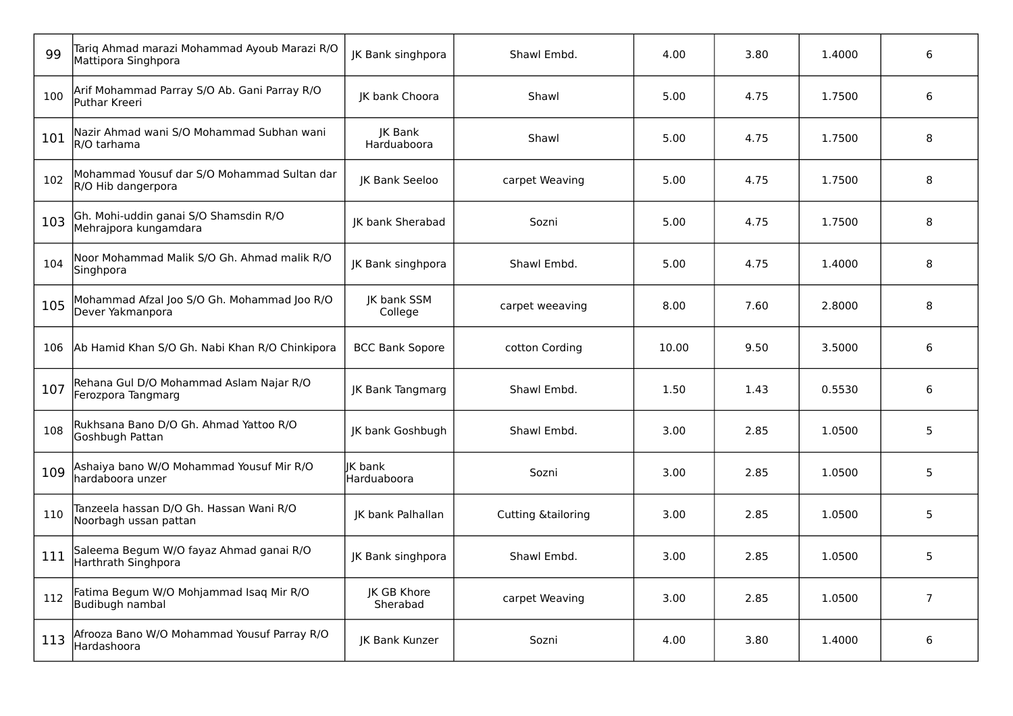| 99  | Tariq Ahmad marazi Mohammad Ayoub Marazi R/O<br>Mattipora Singhpora | JK Bank singhpora             | Shawl Embd.                   | 4.00  | 3.80 | 1.4000 | 6              |
|-----|---------------------------------------------------------------------|-------------------------------|-------------------------------|-------|------|--------|----------------|
| 100 | Arif Mohammad Parray S/O Ab. Gani Parray R/O<br>Puthar Kreeri       | JK bank Choora                | Shawl                         | 5.00  | 4.75 | 1.7500 | 6              |
| 101 | Nazir Ahmad wani S/O Mohammad Subhan wani<br>R/O tarhama            | JK Bank<br>Harduaboora        | Shawl                         | 5.00  | 4.75 | 1.7500 | 8              |
| 102 | Mohammad Yousuf dar S/O Mohammad Sultan dar<br>R/O Hib dangerpora   | JK Bank Seeloo                | carpet Weaving                | 5.00  | 4.75 | 1.7500 | 8              |
| 103 | Gh. Mohi-uddin ganai S/O Shamsdin R/O<br>Mehrajpora kungamdara      | JK bank Sherabad              | Sozni                         | 5.00  | 4.75 | 1.7500 | 8              |
| 104 | Noor Mohammad Malik S/O Gh. Ahmad malik R/O<br>Singhpora            | <b>IK Bank singhpora</b>      | Shawl Embd.                   | 5.00  | 4.75 | 1.4000 | 8              |
| 105 | Mohammad Afzal Joo S/O Gh. Mohammad Joo R/O<br>Dever Yakmanpora     | <b>IK bank SSM</b><br>College | carpet weeaving               | 8.00  | 7.60 | 2.8000 | 8              |
| 106 | Ab Hamid Khan S/O Gh. Nabi Khan R/O Chinkipora                      | <b>BCC Bank Sopore</b>        | cotton Cording                | 10.00 | 9.50 | 3.5000 | 6              |
| 107 | Rehana Gul D/O Mohammad Aslam Najar R/O<br>Ferozpora Tangmarg       | JK Bank Tangmarg              | Shawl Embd.                   | 1.50  | 1.43 | 0.5530 | 6              |
| 108 | Rukhsana Bano D/O Gh. Ahmad Yattoo R/O<br>Goshbugh Pattan           | JK bank Goshbugh              | Shawl Embd.                   | 3.00  | 2.85 | 1.0500 | 5              |
| 109 | Ashaiya bano W/O Mohammad Yousuf Mir R/O<br>hardaboora unzer        | IK bank<br>Harduaboora        | Sozni                         | 3.00  | 2.85 | 1.0500 | 5              |
| 110 | Tanzeela hassan D/O Gh. Hassan Wani R/O<br>Noorbagh ussan pattan    | <b>IK bank Palhallan</b>      | <b>Cutting &amp;tailoring</b> | 3.00  | 2.85 | 1.0500 | 5              |
| 111 | Saleema Begum W/O fayaz Ahmad ganai R/O<br>Harthrath Singhpora      | JK Bank singhpora             | Shawl Embd.                   | 3.00  | 2.85 | 1.0500 | 5              |
| 112 | Fatima Begum W/O Mohjammad Isaq Mir R/O<br>Budibugh nambal          | JK GB Khore<br>Sherabad       | carpet Weaving                | 3.00  | 2.85 | 1.0500 | $\overline{7}$ |
| 113 | Afrooza Bano W/O Mohammad Yousuf Parray R/O<br>Hardashoora          | JK Bank Kunzer                | Sozni                         | 4.00  | 3.80 | 1.4000 | 6              |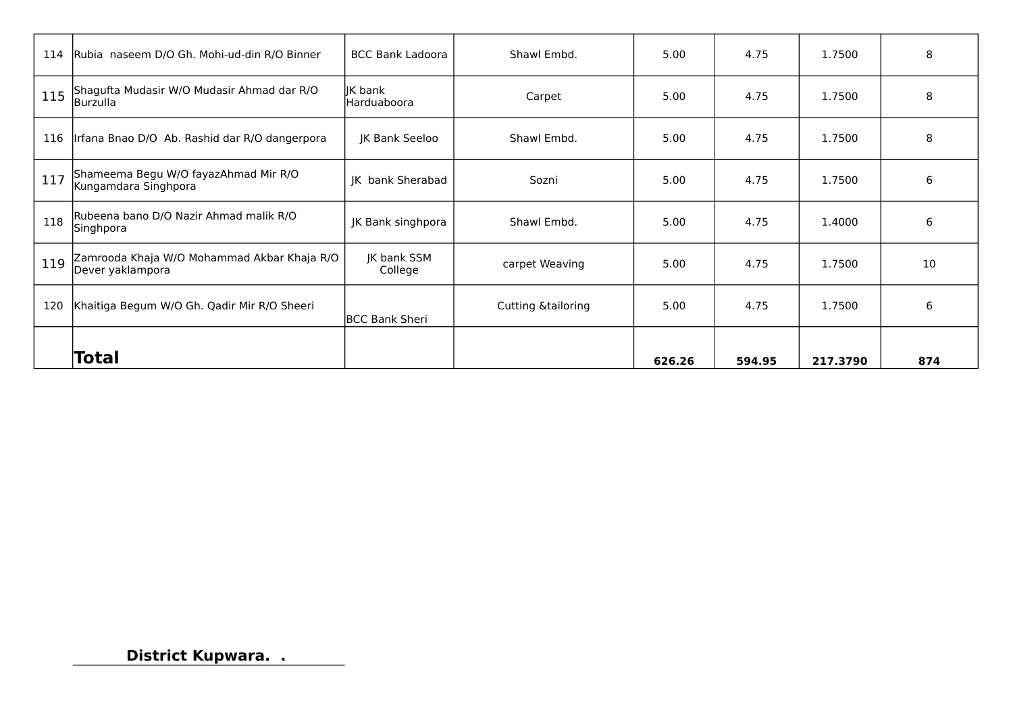| 114 | Rubia naseem D/O Gh. Mohi-ud-din R/O Binner                     | <b>BCC Bank Ladoora</b> | Shawl Embd.                   | 5.00   | 4.75   | 1.7500   | 8   |
|-----|-----------------------------------------------------------------|-------------------------|-------------------------------|--------|--------|----------|-----|
| 115 | Shagufta Mudasir W/O Mudasir Ahmad dar R/O<br>Burzulla          | IK bank<br>Harduaboora  | Carpet                        | 5.00   | 4.75   | 1.7500   | 8   |
| 116 | Irfana Bnao D/O Ab. Rashid dar R/O dangerpora                   | JK Bank Seeloo          | Shawl Embd.                   | 5.00   | 4.75   | 1.7500   | 8   |
| 117 | Shameema Begu W/O fayazAhmad Mir R/O<br>Kungamdara Singhpora    | <b>IK</b> bank Sherabad | Sozni                         | 5.00   | 4.75   | 1.7500   | 6   |
| 118 | Rubeena bano D/O Nazir Ahmad malik R/O<br>Singhpora             | JK Bank singhpora       | Shawl Embd.                   | 5.00   | 4.75   | 1.4000   | 6   |
| 119 | Zamrooda Khaja W/O Mohammad Akbar Khaja R/O<br>Dever yaklampora | JK bank SSM<br>College  | carpet Weaving                | 5.00   | 4.75   | 1.7500   | 10  |
| 120 | Khaitiga Begum W/O Gh. Qadir Mir R/O Sheeri                     | <b>BCC Bank Sheri</b>   | <b>Cutting &amp;tailoring</b> | 5.00   | 4.75   | 1.7500   | 6   |
|     | Total                                                           |                         |                               | 626.26 | 594.95 | 217.3790 | 874 |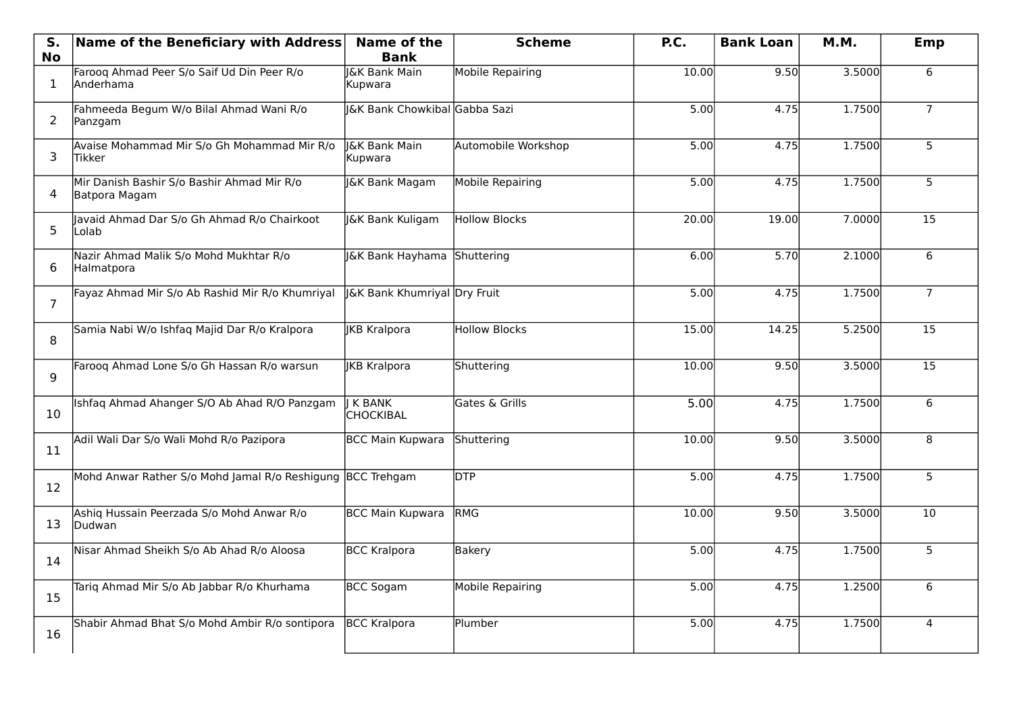| S.             | Name of the Beneficiary with Address                        | Name of the                         | <b>Scheme</b>        | P.C.  | <b>Bank Loan</b> | M.M.   | Emp             |
|----------------|-------------------------------------------------------------|-------------------------------------|----------------------|-------|------------------|--------|-----------------|
| <b>No</b>      |                                                             | <b>Bank</b>                         |                      |       |                  |        |                 |
| 1              | Faroog Ahmad Peer S/o Saif Ud Din Peer R/o<br>Anderhama     | <b>I&amp;K Bank Main</b><br>Kupwara | Mobile Repairing     | 10.00 | 9.50             | 3.5000 | 6               |
| $\overline{2}$ | Fahmeeda Begum W/o Bilal Ahmad Wani R/o<br>Panzgam          | J&K Bank Chowkibal Gabba Sazi       |                      | 5.00  | 4.75             | 1.7500 | $\overline{7}$  |
| 3              | Avaise Mohammad Mir S/o Gh Mohammad Mir R/o<br>lTikker      | I&K Bank Main<br>Kupwara            | Automobile Workshop  | 5.00  | 4.75             | 1.7500 | 5               |
| 4              | Mir Danish Bashir S/o Bashir Ahmad Mir R/o<br>Batpora Magam | J&K Bank Magam                      | Mobile Repairing     | 5.00  | 4.75             | 1.7500 | 5               |
| 5              | Javaid Ahmad Dar S/o Gh Ahmad R/o Chairkoot<br>Lolab        | J&K Bank Kuligam                    | Hollow Blocks        | 20.00 | 19.00            | 7.0000 | $\overline{15}$ |
| 6              | Nazir Ahmad Malik S/o Mohd Mukhtar R/o<br>Halmatpora        | J&K Bank Hayhama Shuttering         |                      | 6.00  | 5.70             | 2.1000 | 6               |
| $\overline{7}$ | Fayaz Ahmad Mir S/o Ab Rashid Mir R/o Khumriyal             | J&K Bank Khumriyal Dry Fruit        |                      | 5.00  | 4.75             | 1.7500 | $\overline{7}$  |
| 8              | Samia Nabi W/o Ishfaq Majid Dar R/o Kralpora                | <b>IKB</b> Kralpora                 | <b>Hollow Blocks</b> | 15.00 | 14.25            | 5.2500 | 15              |
| 9              | Farooq Ahmad Lone S/o Gh Hassan R/o warsun                  | <b>JKB Kralpora</b>                 | Shuttering           | 10.00 | 9.50             | 3.5000 | $\overline{15}$ |
| 10             | Ishfaq Ahmad Ahanger S/O Ab Ahad R/O Panzgam                | I K BANK<br><b>CHOCKIBAL</b>        | Gates & Grills       | 5.00  | 4.75             | 1.7500 | 6               |
| 11             | Adil Wali Dar S/o Wali Mohd R/o Pazipora                    | <b>BCC Main Kupwara</b>             | Shuttering           | 10.00 | 9.50             | 3.5000 | $\overline{8}$  |
| 12             | Mohd Anwar Rather S/o Mohd Jamal R/o Reshigung BCC Trehgam  |                                     | <b>DTP</b>           | 5.00  | 4.75             | 1.7500 | 5               |
| 13             | Ashiq Hussain Peerzada S/o Mohd Anwar R/o<br>Dudwan         | <b>BCC Main Kupwara</b>             | RMG                  | 10.00 | 9.50             | 3.5000 | 10              |
| 14             | Nisar Ahmad Sheikh S/o Ab Ahad R/o Aloosa                   | <b>BCC Kralpora</b>                 | Bakery               | 5.00  | 4.75             | 1.7500 | 5 <sup>1</sup>  |
| 15             | Tariq Ahmad Mir S/o Ab Jabbar R/o Khurhama                  | <b>BCC Sogam</b>                    | Mobile Repairing     | 5.00  | 4.75             | 1.2500 | 6               |
| 16             | Shabir Ahmad Bhat S/o Mohd Ambir R/o sontipora              | <b>BCC Kralpora</b>                 | Plumber              | 5.00  | 4.75             | 1.7500 | 4               |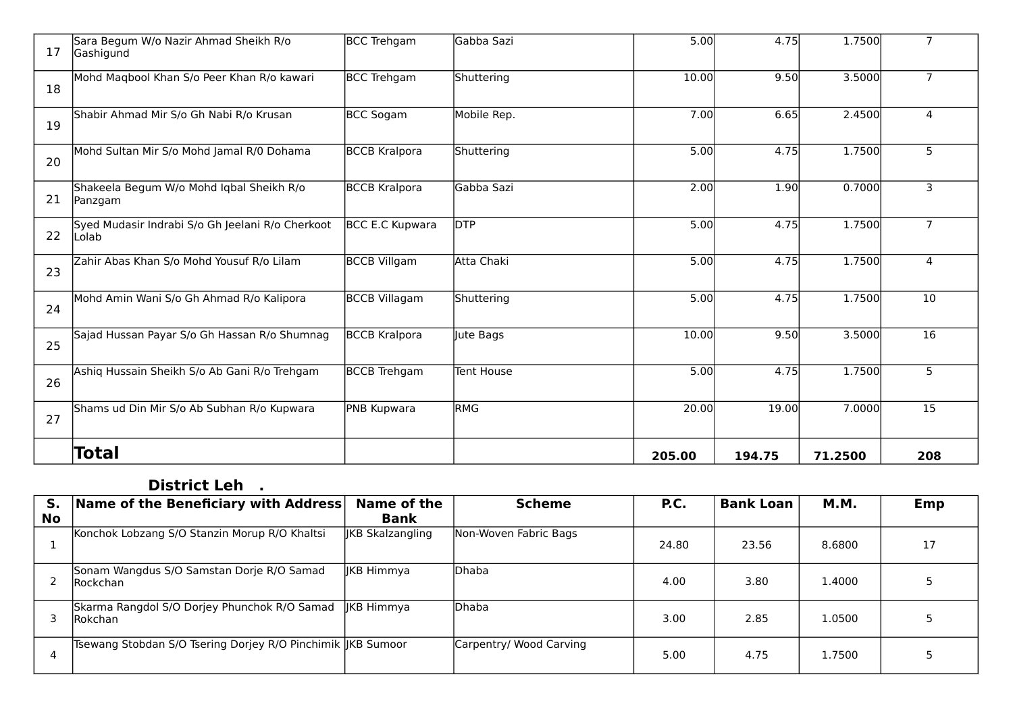| 17 | Sara Begum W/o Nazir Ahmad Sheikh R/o<br>Gashigund         | <b>BCC Trehgam</b>     | Gabba Sazi  | 5.00   | 4.75   | 1.7500  | $\overline{7}$ |
|----|------------------------------------------------------------|------------------------|-------------|--------|--------|---------|----------------|
| 18 | Mohd Maqbool Khan S/o Peer Khan R/o kawari                 | BCC Trehgam            | Shuttering  | 10.00  | 9.50   | 3.5000  | $\overline{7}$ |
| 19 | Shabir Ahmad Mir S/o Gh Nabi R/o Krusan                    | BCC Sogam              | Mobile Rep. | 7.00   | 6.65   | 2.4500  | 4              |
| 20 | Mohd Sultan Mir S/o Mohd Jamal R/0 Dohama                  | <b>BCCB Kralpora</b>   | Shuttering  | 5.00   | 4.75   | 1.7500  | 5              |
| 21 | Shakeela Begum W/o Mohd Iqbal Sheikh R/o<br>Panzgam        | <b>BCCB Kralpora</b>   | Gabba Sazi  | 2.00   | 1.90   | 0.7000  | 3              |
| 22 | Syed Mudasir Indrabi S/o Gh Jeelani R/o Cherkoot<br>lLolab | <b>BCC E.C Kupwara</b> | <b>DTP</b>  | 5.00   | 4.75   | 1.7500  | $\overline{7}$ |
| 23 | Zahir Abas Khan S/o Mohd Yousuf R/o Lilam                  | BCCB Villgam           | Atta Chaki  | 5.00   | 4.75   | 1.7500  | $\overline{4}$ |
| 24 | Mohd Amin Wani S/o Gh Ahmad R/o Kalipora                   | <b>BCCB Villagam</b>   | Shuttering  | 5.00   | 4.75   | 1.7500  | 10             |
| 25 | Sajad Hussan Payar S/o Gh Hassan R/o Shumnag               | <b>BCCB Kralpora</b>   | Jute Bags   | 10.00  | 9.50   | 3.5000  | 16             |
| 26 | Ashig Hussain Sheikh S/o Ab Gani R/o Trehgam               | <b>BCCB</b> Trehgam    | Tent House  | 5.00   | 4.75   | 1.7500  | 5              |
| 27 | Shams ud Din Mir S/o Ab Subhan R/o Kupwara                 | PNB Kupwara            | <b>RMG</b>  | 20.00  | 19.00  | 7.0000  | 15             |
|    | <b>Total</b>                                               |                        |             | 205.00 | 194.75 | 71.2500 | 208            |

#### **District Leh .**

| S.        | Name of the Beneficiary with Address                           | Name of the             | <b>Scheme</b>           | P.C.  | <b>Bank Loan</b> | <b>M.M.</b> | Emp |
|-----------|----------------------------------------------------------------|-------------------------|-------------------------|-------|------------------|-------------|-----|
| <b>No</b> |                                                                | <b>Bank</b>             |                         |       |                  |             |     |
|           | Konchok Lobzang S/O Stanzin Morup R/O Khaltsi                  | <b>IKB Skalzangling</b> | Non-Woven Fabric Bags   | 24.80 | 23.56            | 8.6800      | 17  |
|           | Sonam Wangdus S/O Samstan Dorje R/O Samad<br><b>Rockchan</b>   | <b>IKB Himmya</b>       | lDhaba                  | 4.00  | 3.80             | 1.4000      |     |
|           | Skarma Rangdol S/O Dorjey Phunchok R/O Samad<br><b>Rokchan</b> | IKB Himmya              | <b>Dhaba</b>            | 3.00  | 2.85             | 1.0500      |     |
|           | Tsewang Stobdan S/O Tsering Dorjey R/O Pinchimik  JKB Sumoor   |                         | Carpentry/ Wood Carving | 5.00  | 4.75             | 1.7500      |     |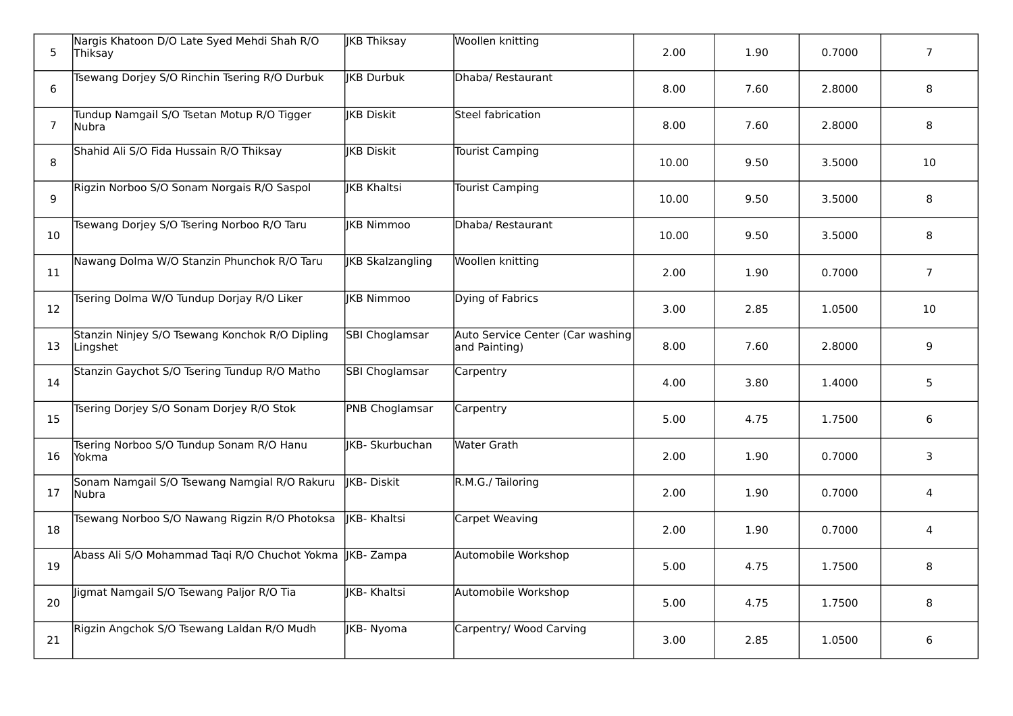| 5  | Nargis Khatoon D/O Late Syed Mehdi Shah R/O<br> Thiksay    | <b>JKB Thiksay</b>      | Woollen knitting                                  | 2.00  | 1.90 | 0.7000 | $\overline{7}$ |
|----|------------------------------------------------------------|-------------------------|---------------------------------------------------|-------|------|--------|----------------|
| 6  | Tsewang Dorjey S/O Rinchin Tsering R/O Durbuk              | <b>KB Durbuk</b>        | Dhaba/ Restaurant                                 | 8.00  | 7.60 | 2.8000 | 8              |
| 7  | Tundup Namgail S/O Tsetan Motup R/O Tigger<br> Nubra       | <b>IKB Diskit</b>       | Steel fabrication                                 | 8.00  | 7.60 | 2.8000 | 8              |
| 8  | Shahid Ali S/O Fida Hussain R/O Thiksay                    | <b>KB Diskit</b>        | Tourist Camping                                   | 10.00 | 9.50 | 3.5000 | 10             |
| 9  | Rigzin Norboo S/O Sonam Norgais R/O Saspol                 | <b>IKB Khaltsi</b>      | Tourist Camping                                   | 10.00 | 9.50 | 3.5000 | 8              |
| 10 | Tsewang Dorjey S/O Tsering Norboo R/O Taru                 | <b>IKB Nimmoo</b>       | Dhaba/ Restaurant                                 | 10.00 | 9.50 | 3.5000 | 8              |
| 11 | Nawang Dolma W/O Stanzin Phunchok R/O Taru                 | <b>JKB Skalzangling</b> | Woollen knitting                                  | 2.00  | 1.90 | 0.7000 | $\overline{7}$ |
| 12 | Tsering Dolma W/O Tundup Dorjay R/O Liker                  | <b>IKB Nimmoo</b>       | Dying of Fabrics                                  | 3.00  | 2.85 | 1.0500 | 10             |
| 13 | Stanzin Ninjey S/O Tsewang Konchok R/O Dipling<br>Lingshet | SBI Choglamsar          | Auto Service Center (Car washing<br>and Painting) | 8.00  | 7.60 | 2.8000 | 9              |
| 14 | Stanzin Gaychot S/O Tsering Tundup R/O Matho               | <b>SBI Choglamsar</b>   | Carpentry                                         | 4.00  | 3.80 | 1.4000 | 5              |
| 15 | Tsering Dorjey S/O Sonam Dorjey R/O Stok                   | <b>PNB Choglamsar</b>   | Carpentry                                         | 5.00  | 4.75 | 1.7500 | 6              |
| 16 | Tsering Norboo S/O Tundup Sonam R/O Hanu<br>Yokma          | <b>KB-Skurbuchan</b>    | <b>Water Grath</b>                                | 2.00  | 1.90 | 0.7000 | 3              |
| 17 | Sonam Namgail S/O Tsewang Namgial R/O Rakuru<br>lNubra     | <b>IKB-Diskit</b>       | R.M.G./Tailoring                                  | 2.00  | 1.90 | 0.7000 | $\overline{4}$ |
| 18 | Tsewang Norboo S/O Nawang Rigzin R/O Photoksa              | <b>IKB- Khaltsi</b>     | Carpet Weaving                                    | 2.00  | 1.90 | 0.7000 | 4              |
| 19 | Abass Ali S/O Mohammad Taqi R/O Chuchot Yokma              | <b>IKB-Zampa</b>        | Automobile Workshop                               | 5.00  | 4.75 | 1.7500 | 8              |
| 20 | Jigmat Namgail S/O Tsewang Paljor R/O Tia                  | <b>IKB- Khaltsi</b>     | Automobile Workshop                               | 5.00  | 4.75 | 1.7500 | 8              |
| 21 | Rigzin Angchok S/O Tsewang Laldan R/O Mudh                 | JKB-Nyoma               | Carpentry/ Wood Carving                           | 3.00  | 2.85 | 1.0500 | 6              |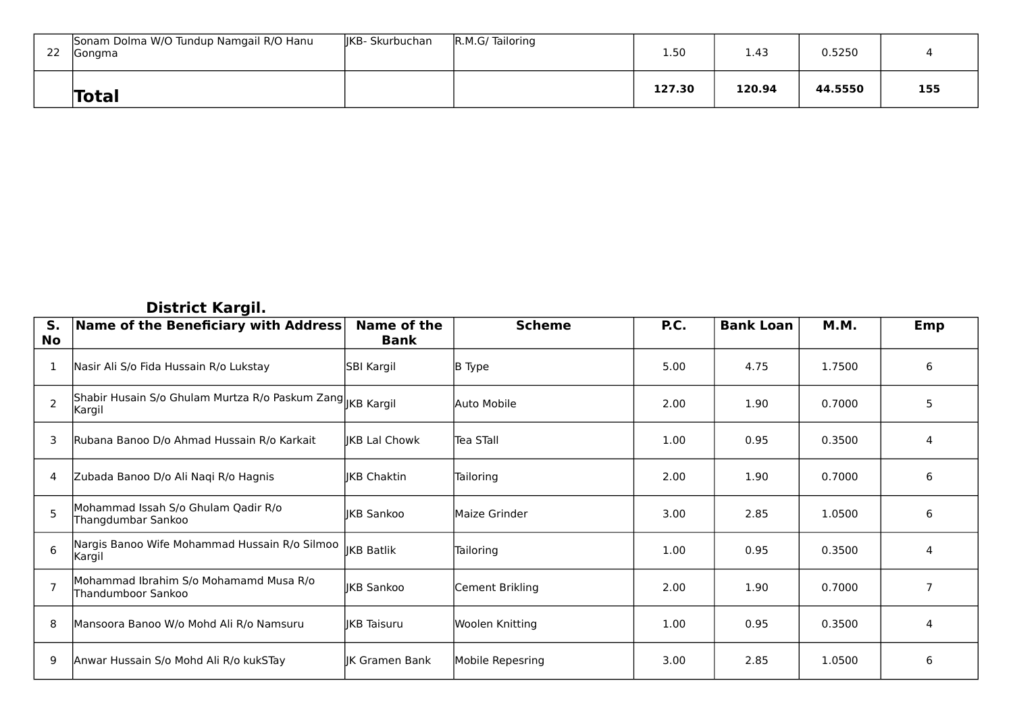| -22 | Sonam Dolma W/O Tundup Namgail R/O Hanu<br><b>Gongma</b> | lIKB- Skurbuchan | R.M.G/Tailoring | 1.50   | 1.43   | 0.5250  |     |
|-----|----------------------------------------------------------|------------------|-----------------|--------|--------|---------|-----|
|     | <b>Total</b>                                             |                  |                 | 127.30 | 120.94 | 44.5550 | 155 |

#### **District Kargil.**

| S.<br><b>No</b> | Name of the Beneficiary with Address                                 | Name of the<br><b>Bank</b> | <b>Scheme</b>    | P.C. | <b>Bank Loan</b> | M.M.   | Emp            |
|-----------------|----------------------------------------------------------------------|----------------------------|------------------|------|------------------|--------|----------------|
| 1               | Nasir Ali S/o Fida Hussain R/o Lukstay                               | SBI Kargil                 | <b>B</b> Type    | 5.00 | 4.75             | 1.7500 | 6              |
| $\mathcal{P}$   | Shabir Husain S/o Ghulam Murtza R/o Paskum Zang KB Kargil<br> Kargil |                            | Auto Mobile      | 2.00 | 1.90             | 0.7000 | 5              |
| 3               | Rubana Banoo D/o Ahmad Hussain R/o Karkait                           | <b>IKB Lal Chowk</b>       | Tea STall        | 1.00 | 0.95             | 0.3500 | 4              |
| 4               | Zubada Banoo D/o Ali Naqi R/o Hagnis                                 | IKB Chaktin                | Tailoring        | 2.00 | 1.90             | 0.7000 | 6              |
|                 | Mohammad Issah S/o Ghulam Qadir R/o<br>Thangdumbar Sankoo            | IKB Sankoo                 | Maize Grinder    | 3.00 | 2.85             | 1.0500 | 6              |
| 6               | Nargis Banoo Wife Mohammad Hussain R/o Silmoo<br> Kargil             | <b>IKB Batlik</b>          | Tailoring        | 1.00 | 0.95             | 0.3500 | 4              |
|                 | Mohammad Ibrahim S/o Mohamamd Musa R/o<br>Thandumboor Sankoo         | <b>JKB Sankoo</b>          | Cement Brikling  | 2.00 | 1.90             | 0.7000 | $\overline{7}$ |
| 8               | Mansoora Banoo W/o Mohd Ali R/o Namsuru                              | <b>KB</b> Taisuru          | Woolen Knitting  | 1.00 | 0.95             | 0.3500 | 4              |
| 9               | Anwar Hussain S/o Mohd Ali R/o kukSTay                               | IK Gramen Bank             | Mobile Repesring | 3.00 | 2.85             | 1.0500 | 6              |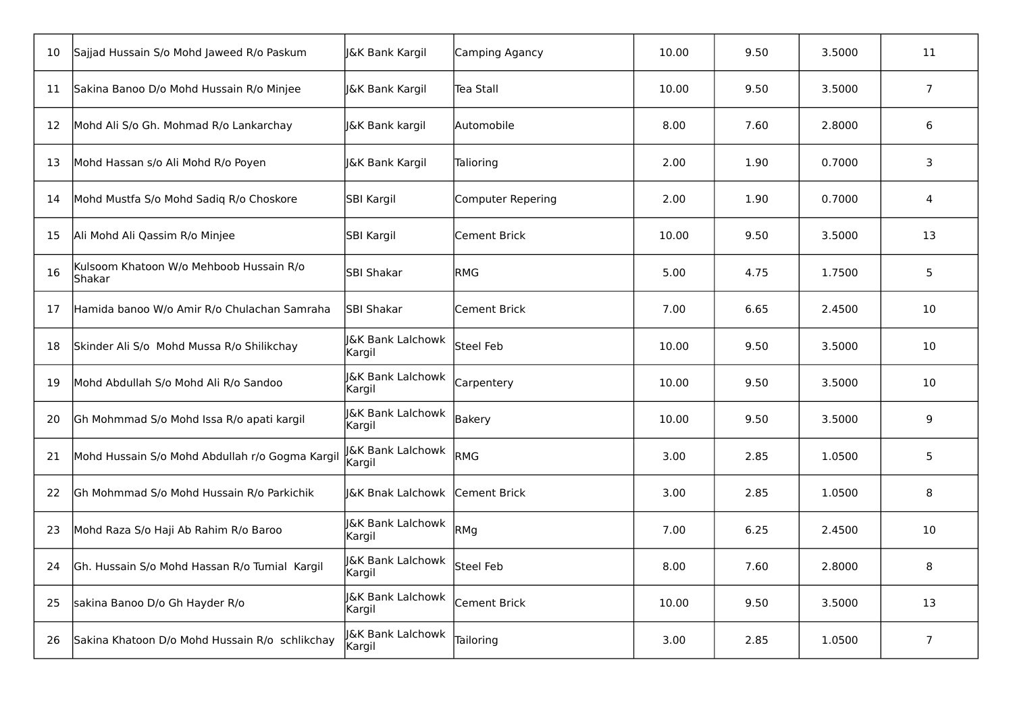| 10 | Sajjad Hussain S/o Mohd Jaweed R/o Paskum         | J&K Bank Kargil                        | Camping Agancy      | 10.00 | 9.50 | 3.5000 | 11             |
|----|---------------------------------------------------|----------------------------------------|---------------------|-------|------|--------|----------------|
| 11 | Sakina Banoo D/o Mohd Hussain R/o Minjee          | J&K Bank Kargil                        | Tea Stall           | 10.00 | 9.50 | 3.5000 | $\overline{7}$ |
| 12 | Mohd Ali S/o Gh. Mohmad R/o Lankarchay            | <b>J&amp;K Bank kargil</b>             | lAutomobile         | 8.00  | 7.60 | 2.8000 | 6              |
| 13 | Mohd Hassan s/o Ali Mohd R/o Poyen                | J&K Bank Kargil                        | Talioring           | 2.00  | 1.90 | 0.7000 | 3              |
| 14 | Mohd Mustfa S/o Mohd Sadiq R/o Choskore           | SBI Kargil                             | Computer Repering   | 2.00  | 1.90 | 0.7000 | 4              |
| 15 | Ali Mohd Ali Qassim R/o Minjee                    | SBI Kargil                             | Cement Brick        | 10.00 | 9.50 | 3.5000 | 13             |
| 16 | Kulsoom Khatoon W/o Mehboob Hussain R/o<br>Shakar | SBI Shakar                             | <b>RMG</b>          | 5.00  | 4.75 | 1.7500 | 5              |
| 17 | Hamida banoo W/o Amir R/o Chulachan Samraha       | SBI Shakar                             | <b>Cement Brick</b> | 7.00  | 6.65 | 2.4500 | 10             |
| 18 | Skinder Ali S/o Mohd Mussa R/o Shilikchay         | <b>J&amp;K Bank Lalchowk</b><br>Kargil | Steel Feb           | 10.00 | 9.50 | 3.5000 | 10             |
| 19 | Mohd Abdullah S/o Mohd Ali R/o Sandoo             | <b>J&amp;K Bank Lalchowk</b><br>Kargil | Carpentery          | 10.00 | 9.50 | 3.5000 | 10             |
| 20 | Gh Mohmmad S/o Mohd Issa R/o apati kargil         | <b>J&amp;K Bank Lalchowk</b><br>Kargil | <b>Bakery</b>       | 10.00 | 9.50 | 3.5000 | 9              |
| 21 | Mohd Hussain S/o Mohd Abdullah r/o Gogma Kargil   | <b>J&amp;K Bank Lalchowk</b><br>Kargil | RMG                 | 3.00  | 2.85 | 1.0500 | 5              |
| 22 | Gh Mohmmad S/o Mohd Hussain R/o Parkichik         | J&K Bnak Lalchowk                      | Cement Brick        | 3.00  | 2.85 | 1.0500 | 8              |
| 23 | Mohd Raza S/o Haji Ab Rahim R/o Baroo             | <b>J&amp;K Bank Lalchowk</b><br>Kargil | RMg                 | 7.00  | 6.25 | 2.4500 | 10             |
| 24 | Gh. Hussain S/o Mohd Hassan R/o Tumial Kargil     | <b>J&amp;K Bank Lalchowk</b><br>Kargil | Steel Feb           | 8.00  | 7.60 | 2.8000 | 8              |
| 25 | sakina Banoo D/o Gh Hayder R/o                    | <b>J&amp;K Bank Lalchowk</b><br>Kargil | <b>Cement Brick</b> | 10.00 | 9.50 | 3.5000 | 13             |
| 26 | Sakina Khatoon D/o Mohd Hussain R/o schlikchay    | <b>J&amp;K Bank Lalchowk</b><br>Kargil | Tailoring           | 3.00  | 2.85 | 1.0500 | $\overline{7}$ |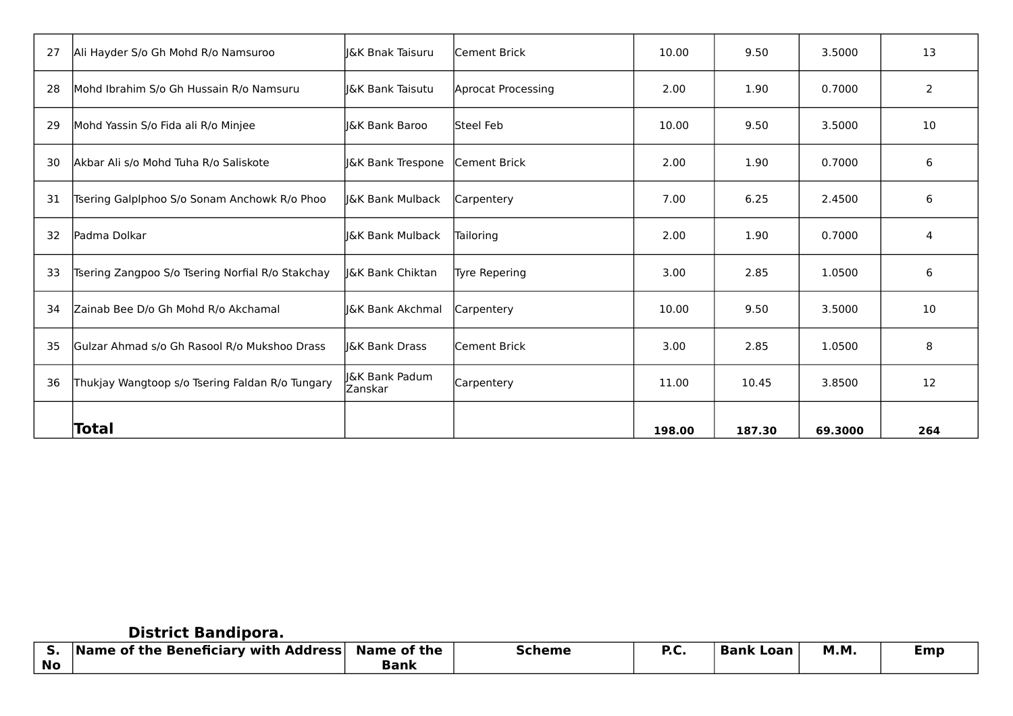| 27 | Ali Hayder S/o Gh Mohd R/o Namsuroo              | I&K Bnak Taisuru            | <b>Cement Brick</b> | 10.00  | 9.50   | 3.5000  | 13             |
|----|--------------------------------------------------|-----------------------------|---------------------|--------|--------|---------|----------------|
| 28 | Mohd Ibrahim S/o Gh Hussain R/o Namsuru          | I&K Bank Taisutu            | Aprocat Processing  | 2.00   | 1.90   | 0.7000  | $\overline{2}$ |
| 29 | Mohd Yassin S/o Fida ali R/o Minjee              | <b>J&amp;K Bank Baroo</b>   | lSteel Feb          | 10.00  | 9.50   | 3.5000  | 10             |
| 30 | Akbar Ali s/o Mohd Tuha R/o Saliskote            | J&K Bank Trespone           | Cement Brick        | 2.00   | 1.90   | 0.7000  | 6              |
| 31 | Tsering Galplphoo S/o Sonam Anchowk R/o Phoo     | I&K Bank Mulback            | Carpentery          | 7.00   | 6.25   | 2.4500  | 6              |
| 32 | lPadma Dolkar                                    | <b>J&amp;K Bank Mulback</b> | Tailoring           | 2.00   | 1.90   | 0.7000  | 4              |
| 33 | Tsering Zangpoo S/o Tsering Norfial R/o Stakchay | I&K Bank Chiktan            | Tyre Repering       | 3.00   | 2.85   | 1.0500  | 6              |
| 34 | Zainab Bee D/o Gh Mohd R/o Akchamal              | <b>J&amp;K Bank Akchmal</b> | Carpentery          | 10.00  | 9.50   | 3.5000  | 10             |
| 35 | lGulzar Ahmad s/o Gh Rasool R/o Mukshoo Drass    | I&K Bank Drass              | lCement Brick       | 3.00   | 2.85   | 1.0500  | 8              |
| 36 | Thukjay Wangtoop s/o Tsering Faldan R/o Tungary  | I&K Bank Padum<br>Zanskar   | Carpentery          | 11.00  | 10.45  | 3.8500  | 12             |
|    | Total                                            |                             |                     | 198.00 | 187.30 | 69.3000 | 264            |

## **District Bandipora.**

| J.        | <b>Name of the Beneficiary with Address</b> | <b>Name of the</b> | <b>Scheme</b> | P.C | Bank<br>. Loan | <b>M.M</b> . | :mp |
|-----------|---------------------------------------------|--------------------|---------------|-----|----------------|--------------|-----|
| <b>No</b> |                                             | Bank               |               |     |                |              |     |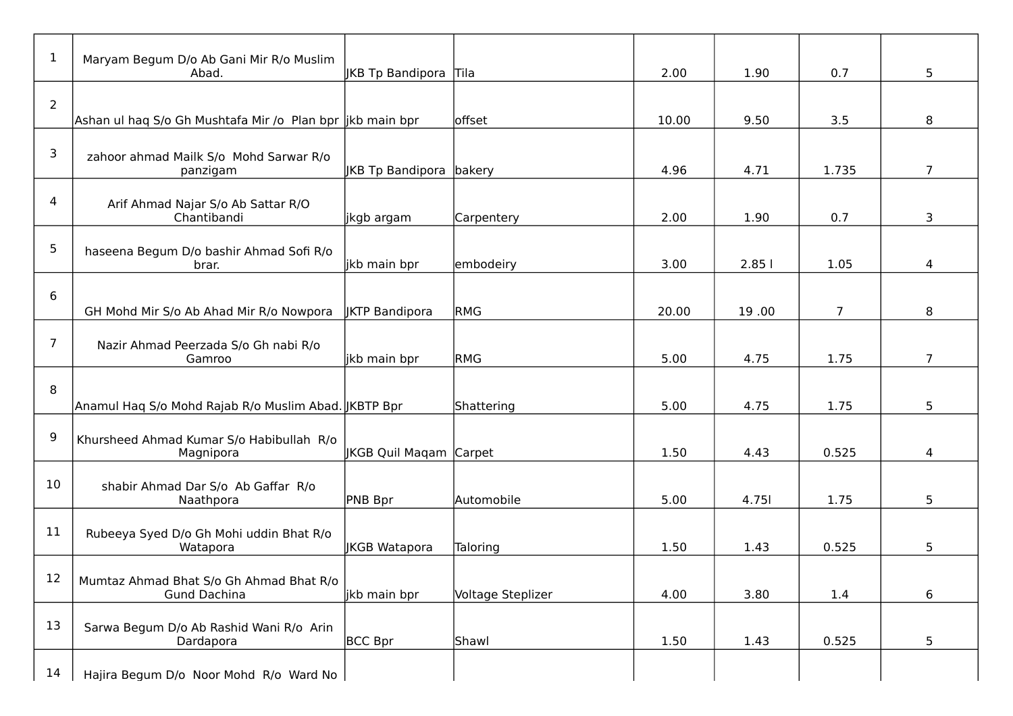| $\mathbf 1$    | Maryam Begum D/o Ab Gani Mir R/o Muslim<br>Abad.               | <b>JKB Tp Bandipora Tila</b> |                   | 2.00  | 1.90  | 0.7            | 5              |
|----------------|----------------------------------------------------------------|------------------------------|-------------------|-------|-------|----------------|----------------|
| $\overline{2}$ | Ashan ul haq S/o Gh Mushtafa Mir /o Plan bpr  jkb main bpr     |                              | offset            | 10.00 | 9.50  | 3.5            | 8              |
| 3              | zahoor ahmad Mailk S/o Mohd Sarwar R/o<br>panzigam             | JKB Tp Bandipora bakery      |                   | 4.96  | 4.71  | 1.735          | $\overline{7}$ |
| 4              | Arif Ahmad Najar S/o Ab Sattar R/O<br>Chantibandi              | jkgb argam                   | Carpentery        | 2.00  | 1.90  | 0.7            | 3              |
| 5              | haseena Begum D/o bashir Ahmad Sofi R/o<br>brar.               | jkb main bpr                 | embodeiry         | 3.00  | 2.851 | 1.05           | 4              |
| 6              | GH Mohd Mir S/o Ab Ahad Mir R/o Nowpora                        | <b>JKTP Bandipora</b>        | <b>RMG</b>        | 20.00 | 19.00 | $\overline{7}$ | 8              |
| $\overline{7}$ | Nazir Ahmad Peerzada S/o Gh nabi R/o<br>Gamroo                 | ikb main bpr                 | <b>RMG</b>        | 5.00  | 4.75  | 1.75           | $\overline{7}$ |
| 8              | Anamul Haq S/o Mohd Rajab R/o Muslim Abad. JKBTP Bpr           |                              | Shattering        | 5.00  | 4.75  | 1.75           | 5              |
| 9              | Khursheed Ahmad Kumar S/o Habibullah R/o<br>Magnipora          | JKGB Quil Maqam Carpet       |                   | 1.50  | 4.43  | 0.525          | 4              |
| 10             | shabir Ahmad Dar S/o Ab Gaffar R/o<br>Naathpora                | PNB Bpr                      | Automobile        | 5.00  | 4.751 | 1.75           | 5              |
| 11             | Rubeeya Syed D/o Gh Mohi uddin Bhat R/o<br>Watapora            | <b>JKGB Watapora</b>         | Taloring          | 1.50  | 1.43  | 0.525          | 5              |
| 12             | Mumtaz Ahmad Bhat S/o Gh Ahmad Bhat R/o<br><b>Gund Dachina</b> | jkb main bpr                 | Voltage Steplizer | 4.00  | 3.80  | 1.4            | 6              |
| 13             | Sarwa Begum D/o Ab Rashid Wani R/o Arin<br>Dardapora           | BCC Bpr                      | Shawl             | 1.50  | 1.43  | 0.525          | 5              |
| 14             | Hajira Begum D/o Noor Mohd R/o Ward No                         |                              |                   |       |       |                |                |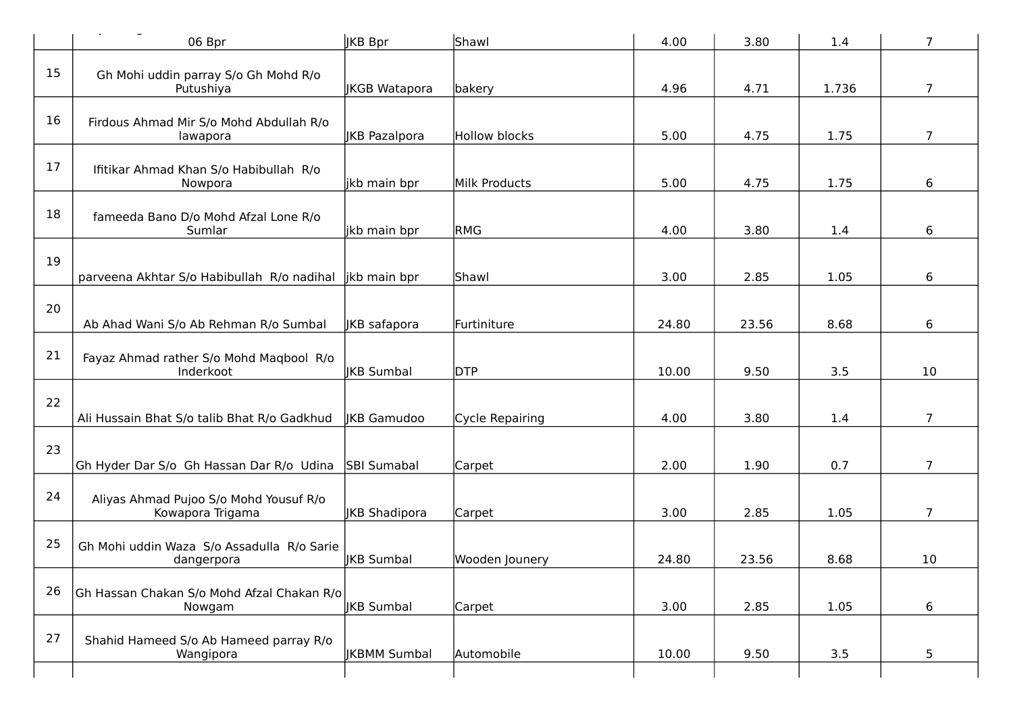|    | 06 Bpr                                                     | <b>JKB</b> Bpr       | Shawl           | 4.00  | 3.80  | 1.4   | $\overline{7}$ |
|----|------------------------------------------------------------|----------------------|-----------------|-------|-------|-------|----------------|
| 15 | Gh Mohi uddin parray S/o Gh Mohd R/o<br>Putushiya          | <b>JKGB Watapora</b> | bakery          | 4.96  | 4.71  | 1.736 | $\overline{7}$ |
| 16 | Firdous Ahmad Mir S/o Mohd Abdullah R/o<br>lawapora        | <b>JKB Pazalpora</b> | Hollow blocks   | 5.00  | 4.75  | 1.75  | 7              |
| 17 | Ifitikar Ahmad Khan S/o Habibullah R/o<br>Nowpora          | jkb main bpr         | Milk Products   | 5.00  | 4.75  | 1.75  | 6              |
| 18 | fameeda Bano D/o Mohd Afzal Lone R/o<br>Sumlar             | jkb main bpr         | <b>RMG</b>      | 4.00  | 3.80  | 1.4   | 6              |
| 19 | parveena Akhtar S/o Habibullah R/o nadihal                 | likb main bpr        | Shawl           | 3.00  | 2.85  | 1.05  | 6              |
| 20 | Ab Ahad Wani S/o Ab Rehman R/o Sumbal                      | JKB safapora         | Furtiniture     | 24.80 | 23.56 | 8.68  | 6              |
| 21 | Fayaz Ahmad rather S/o Mohd Magbool R/o<br>Inderkoot       | <b>JKB Sumbal</b>    | <b>DTP</b>      | 10.00 | 9.50  | 3.5   | 10             |
| 22 | Ali Hussain Bhat S/o talib Bhat R/o Gadkhud                | <b>IKB Gamudoo</b>   | Cycle Repairing | 4.00  | 3.80  | 1.4   | $\overline{7}$ |
| 23 | Gh Hyder Dar S/o Gh Hassan Dar R/o Udina                   | <b>SBI Sumabal</b>   | Carpet          | 2.00  | 1.90  | 0.7   | 7              |
| 24 | Aliyas Ahmad Pujoo S/o Mohd Yousuf R/o<br>Kowapora Trigama | JKB Shadipora        | Carpet          | 3.00  | 2.85  | 1.05  | 7              |
| 25 | Gh Mohi uddin Waza S/o Assadulla R/o Sarie<br>dangerpora   | <b>IKB Sumbal</b>    | Wooden Jounery  | 24.80 | 23.56 | 8.68  | 10             |
| 26 | Gh Hassan Chakan S/o Mohd Afzal Chakan R/o<br>Nowgam       | JKB Sumbal           | Carpet          | 3.00  | 2.85  | 1.05  | 6              |
| 27 | Shahid Hameed S/o Ab Hameed parray R/o<br>Wangipora        | <b>JKBMM Sumbal</b>  | Automobile      | 10.00 | 9.50  | 3.5   | 5              |